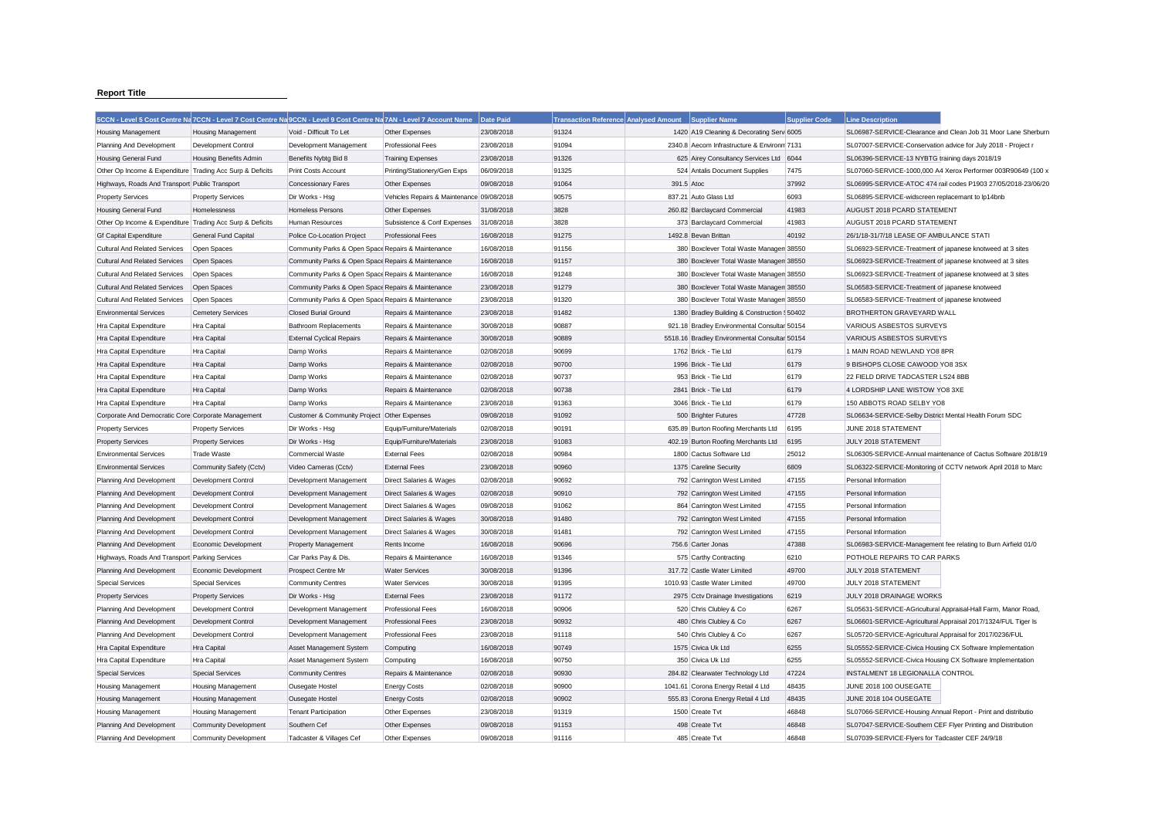## **Report Title**

|                                                           |                               | 5CCN - Level 5 Cost Centre Na 7CCN - Level 7 Cost Centre Na 9CCN - Level 9 Cost Centre Na 7AN - Level 7 Account Name |                                            | Date Paid  | <b>Transaction Reference Analysed Amount</b> |            | Supplier Name                                 | <b>Supplier Code</b> | <b>Line Description</b>                                       |                                                               |
|-----------------------------------------------------------|-------------------------------|----------------------------------------------------------------------------------------------------------------------|--------------------------------------------|------------|----------------------------------------------|------------|-----------------------------------------------|----------------------|---------------------------------------------------------------|---------------------------------------------------------------|
| <b>Housing Management</b>                                 | <b>Housing Management</b>     | Void - Difficult To Let                                                                                              | Other Expenses                             | 23/08/2018 | 91324                                        |            | 1420 A19 Cleaning & Decorating Serv 6005      |                      |                                                               | SL06987-SERVICE-Clearance and Clean Job 31 Moor Lane Sherburn |
| Planning And Development                                  | Development Control           | Development Management                                                                                               | <b>Professional Fees</b>                   | 23/08/2018 | 91094                                        |            | 2340.8 Aecom Infrastructure & Environm 7131   |                      | SL07007-SERVICE-Conservation advice for July 2018 - Project r |                                                               |
| Housing General Fund                                      | <b>Housing Benefits Admin</b> | Benefits Nybtg Bid 8                                                                                                 | <b>Training Expenses</b>                   | 23/08/2018 | 91326                                        |            | 625 Airey Consultancy Services Ltd 6044       |                      | SL06396-SERVICE-13 NYBTG training days 2018/19                |                                                               |
| Other Op Income & Expenditure Trading Acc Surp & Deficits |                               | Print Costs Account                                                                                                  | Printing/Stationery/Gen Exps               | 06/09/2018 | 91325                                        |            | 524 Antalis Document Supplies                 | 7475                 |                                                               | SL07060-SERVICE-1000,000 A4 Xerox Performer 003R90649 (100 >  |
| Highways, Roads And Transport Public Transport            |                               | <b>Concessionary Fares</b>                                                                                           | Other Expenses                             | 09/08/2018 | 91064                                        | 391.5 Atoc |                                               | 37992                |                                                               | SL06995-SERVICE-ATOC 474 rail codes P1903 27/05/2018-23/06/20 |
| <b>Property Services</b>                                  | <b>Property Services</b>      | Dir Works - Hsg                                                                                                      | Vehicles Repairs & Maintenance 09/08/2018  |            | 90575                                        |            | 837.21 Auto Glass Ltd                         | 6093                 | SL06895-SERVICE-widscreen replacemant to lp14bnb              |                                                               |
| Housing General Fund                                      | Homelessness                  | Homeless Persons                                                                                                     | Other Expenses                             | 31/08/2018 | 3828                                         |            | 260.82 Barclaycard Commercial                 | 41983                | AUGUST 2018 PCARD STATEMENT                                   |                                                               |
| Other Op Income & Expenditure Trading Acc Surp & Deficits |                               | Human Resources                                                                                                      | Subsistence & Conf Expenses                | 31/08/2018 | 3828                                         |            | 373 Barclaycard Commercial                    | 41983                | AUGUST 2018 PCARD STATEMENT                                   |                                                               |
| <b>Gf Capital Expenditure</b>                             | <b>General Fund Capital</b>   | Police Co-Location Project                                                                                           | <b>Professional Fees</b>                   | 16/08/2018 | 91275                                        |            | 1492.8 Bevan Brittan                          | 40192                | 26/1/18-31/7/18 LEASE OF AMBULANCE STATI                      |                                                               |
| Cultural And Related Services                             | Open Spaces                   | Community Parks & Open Space Repairs & Maintenance                                                                   |                                            | 16/08/2018 | 91156                                        |            | 380 Boxclever Total Waste Managen 38550       |                      | SL06923-SERVICE-Treatment of japanese knotweed at 3 sites     |                                                               |
| <b>Cultural And Related Services</b>                      | Open Spaces                   | Community Parks & Open Space Repairs & Maintenance                                                                   |                                            | 16/08/2018 | 91157                                        |            | 380 Boxclever Total Waste Managen 38550       |                      | SL06923-SERVICE-Treatment of japanese knotweed at 3 sites     |                                                               |
| <b>Cultural And Related Services</b>                      | Open Spaces                   | Community Parks & Open Space Repairs & Maintenance                                                                   |                                            | 16/08/2018 | 91248                                        |            | 380 Boxclever Total Waste Managen 38550       |                      | SL06923-SERVICE-Treatment of japanese knotweed at 3 sites     |                                                               |
| <b>Cultural And Related Services</b>                      | Open Spaces                   | Community Parks & Open Space Repairs & Maintenance                                                                   |                                            | 23/08/2018 | 91279                                        |            | 380 Boxclever Total Waste Managen 38550       |                      | SL06583-SERVICE-Treatment of japanese knotweed                |                                                               |
| <b>Cultural And Related Services</b>                      | Open Spaces                   | Community Parks & Open Space Repairs & Maintenance                                                                   |                                            | 23/08/2018 | 91320                                        |            | 380 Boxclever Total Waste Managen 38550       |                      | SL06583-SERVICE-Treatment of japanese knotweed                |                                                               |
| <b>Environmental Services</b>                             | <b>Cemetery Services</b>      | <b>Closed Burial Ground</b>                                                                                          | Repairs & Maintenance                      | 23/08/2018 | 91482                                        |            | 1380 Bradley Building & Construction \$50402  |                      | BROTHERTON GRAVEYARD WALL                                     |                                                               |
| Hra Capital Expenditure                                   | Hra Capital                   | <b>Bathroom Replacements</b>                                                                                         | Repairs & Maintenance                      | 30/08/2018 | 90887                                        |            | 921.18 Bradley Environmental Consultar 50154  |                      | VARIOUS ASBESTOS SURVEYS                                      |                                                               |
| Hra Capital Expenditure                                   | Hra Capital                   | <b>External Cyclical Repairs</b>                                                                                     | Repairs & Maintenance                      | 30/08/2018 | 90889                                        |            | 5518.16 Bradley Environmental Consultar 50154 |                      | VARIOUS ASBESTOS SURVEYS                                      |                                                               |
| Hra Capital Expenditure                                   | Hra Capital                   | Damp Works                                                                                                           | Repairs & Maintenance                      | 02/08/2018 | 90699                                        |            | 1762 Brick - Tie Ltd                          | 6179                 | 1 MAIN ROAD NEWLAND YO8 8PR                                   |                                                               |
| Hra Capital Expenditure                                   | Hra Capital                   | Damp Works                                                                                                           | Repairs & Maintenance                      | 02/08/2018 | 90700                                        |            | 1996 Brick - Tie Ltd                          | 6179                 | 9 BISHOPS CLOSE CAWOOD YO8 3SX                                |                                                               |
| Hra Capital Expenditure                                   | Hra Capital                   | Damp Works                                                                                                           | Repairs & Maintenance                      | 02/08/2018 | 90737                                        |            | 953 Brick - Tie Ltd                           | 6179                 | 22 FIELD DRIVE TADCASTER LS24 8BB                             |                                                               |
| Hra Capital Expenditure                                   | Hra Capital                   | Damp Works                                                                                                           | Repairs & Maintenance                      | 02/08/2018 | 90738                                        |            | 2841 Brick - Tie Ltd                          | 6179                 | 4 LORDSHIP LANE WISTOW YO8 3XE                                |                                                               |
| Hra Capital Expenditure                                   | Hra Capital                   | Damp Works                                                                                                           | Repairs & Maintenance                      | 23/08/2018 | 91363                                        |            | 3046 Brick - Tie Ltd                          | 6179                 | 150 ABBOTS ROAD SELBY YO8                                     |                                                               |
| Corporate And Democratic Core Corporate Management        |                               | Customer & Community Project Other Expenses                                                                          |                                            | 09/08/2018 | 91092                                        |            | 500 Brighter Futures                          | 47728                | SL06634-SERVICE-Selby District Mental Health Forum SDC        |                                                               |
| <b>Property Services</b>                                  | <b>Property Services</b>      | Dir Works - Hsg                                                                                                      | Equip/Furniture/Materials                  | 02/08/2018 | 90191                                        |            | 635.89 Burton Roofing Merchants Ltd           | 6195                 | JUNE 2018 STATEMENT                                           |                                                               |
| <b>Property Services</b>                                  | <b>Property Services</b>      | Dir Works - Hsg                                                                                                      | Equip/Furniture/Materials                  | 23/08/2018 | 91083                                        |            | 402.19 Burton Roofing Merchants Ltd           | 6195                 | JULY 2018 STATEMENT                                           |                                                               |
| <b>Environmental Services</b>                             | <b>Trade Waste</b>            | Commercial Waste                                                                                                     | <b>External Fees</b>                       | 02/08/2018 | 90984                                        |            | 1800 Cactus Software Ltd                      | 25012                |                                                               | SL06305-SERVICE-Annual maintenance of Cactus Software 2018/19 |
| <b>Environmental Services</b>                             | Community Safety (Cctv)       | Video Cameras (Cctv)                                                                                                 | <b>External Fees</b>                       | 23/08/2018 | 90960                                        |            | 1375 Careline Security                        | 6809                 |                                                               | SL06322-SERVICE-Monitoring of CCTV network April 2018 to Marc |
| Planning And Development                                  | Development Control           | Development Management                                                                                               | Direct Salaries & Wages                    | 02/08/2018 | 90692                                        |            | 792 Carrington West Limited                   | 47155                | Personal Information                                          |                                                               |
| Planning And Development                                  | Development Control           | Development Management                                                                                               | Direct Salaries & Wages                    | 02/08/2018 | 90910                                        |            | 792 Carrington West Limited                   | 47155                | Personal Information                                          |                                                               |
| Planning And Development                                  | Development Control           | Development Management                                                                                               | Direct Salaries & Wages                    | 09/08/2018 | 91062                                        |            | 864 Carrington West Limited                   | 47155                | Personal Information                                          |                                                               |
| Planning And Development                                  | Development Control           | Development Management                                                                                               | Direct Salaries & Wages                    | 30/08/2018 | 91480                                        |            | 792 Carrington West Limited                   | 47155                | Personal Information                                          |                                                               |
| Planning And Development                                  | Development Control           | Development Management                                                                                               | Direct Salaries & Wages                    | 30/08/2018 | 91481                                        |            | 792 Carrington West Limited                   | 47155                | Personal Information                                          |                                                               |
| Planning And Development                                  | Economic Development          | <b>Property Management</b>                                                                                           | Rents Income                               | 16/08/2018 | 90696                                        |            | 756.6 Carter Jonas                            | 47388                |                                                               | SL06983-SERVICE-Management fee relating to Burn Airfield 01/0 |
| Highways, Roads And Transport Parking Services            |                               | Car Parks Pay & Dis                                                                                                  | Repairs & Maintenance                      | 16/08/2018 | 91346                                        |            | 575 Carthy Contracting                        | 6210                 | POTHOLE REPAIRS TO CAR PARKS                                  |                                                               |
| Planning And Development                                  | Economic Development          | Prospect Centre Mr                                                                                                   | <b>Water Services</b>                      | 30/08/2018 | 91396                                        |            | 317.72 Castle Water Limited                   | 49700                | JULY 2018 STATEMENT                                           |                                                               |
| <b>Special Services</b>                                   | <b>Special Services</b>       | <b>Community Centres</b>                                                                                             | <b>Water Services</b>                      | 30/08/2018 | 91395                                        |            | 1010.93 Castle Water Limited                  | 49700                | JULY 2018 STATEMENT                                           |                                                               |
| <b>Property Services</b>                                  | <b>Property Services</b>      | Dir Works - Hsg                                                                                                      | <b>External Fees</b>                       | 23/08/2018 | 91172                                        |            | 2975 Cctv Drainage Investigations             | 6219                 | JULY 2018 DRAINAGE WORKS                                      |                                                               |
| Planning And Development                                  | <b>Development Control</b>    | Development Management                                                                                               | <b>Professional Fees</b>                   | 16/08/2018 | 90906                                        |            | 520 Chris Clubley & Co                        | 6267                 |                                                               | SL05631-SERVICE-AGricultural Appraisal-Hall Farm, Manor Road, |
| Planning And Development                                  | Development Control           | Development Management                                                                                               | <b>Professional Fees</b>                   | 23/08/2018 | 90932                                        |            | 480 Chris Clubley & Co                        | 6267                 |                                                               | SL06601-SERVICE-Agricultural Appraisal 2017/1324/FUL Tiger Is |
| Planning And Development                                  | Development Control           | Development Management                                                                                               | <b>Professional Fees</b>                   | 23/08/2018 | 91118                                        |            | 540 Chris Clubley & Co                        | 6267                 | SL05720-SERVICE-Agricultural Appraisal for 2017/0236/FUL      |                                                               |
| Hra Capital Expenditure                                   | Hra Capital                   | Asset Management System                                                                                              | Computing                                  | 16/08/2018 | 90749                                        |            | 1575 Civica Uk Ltd                            | 6255                 | SL05552-SERVICE-Civica Housing CX Software Implementation     |                                                               |
| Hra Capital Expenditure                                   | Hra Capital                   | Asset Management System                                                                                              | Computing                                  | 16/08/2018 | 90750                                        |            | 350 Civica Uk Ltd                             | 6255                 | SL05552-SERVICE-Civica Housing CX Software Implementation     |                                                               |
| <b>Special Services</b>                                   | <b>Special Services</b>       | <b>Community Centres</b>                                                                                             | Repairs & Maintenance                      | 02/08/2018 | 90930                                        |            | 284.82 Clearwater Technology Ltd              | 47224                | <b>INSTALMENT 18 LEGIONALLA CONTROL</b>                       |                                                               |
|                                                           | <b>Housing Management</b>     | Ousegate Hostel                                                                                                      |                                            | 02/08/2018 | 90900                                        |            | 1041.61 Corona Energy Retail 4 Ltd            | 48435                | JUNE 2018 100 OUSEGATE                                        |                                                               |
| Housing Management<br>Housing Management                  | <b>Housing Management</b>     | Ousegate Hostel                                                                                                      | <b>Energy Costs</b><br><b>Energy Costs</b> | 02/08/2018 | 90902                                        |            | 555.83 Corona Energy Retail 4 Ltd             | 48435                | JUNE 2018 104 OUSEGATE                                        |                                                               |
| Housing Management                                        | <b>Housing Management</b>     | <b>Tenant Participation</b>                                                                                          | Other Expenses                             | 23/08/2018 | 91319                                        |            | 1500 Create Tvt                               | 46848                | SL07066-SERVICE-Housing Annual Report - Print and distributio |                                                               |
| Planning And Development                                  | <b>Community Development</b>  | Southern Cef                                                                                                         | Other Expenses                             | 09/08/2018 | 91153                                        |            | 498 Create Tvt                                | 46848                | SL07047-SERVICE-Southern CEF Flyer Printing and Distribution  |                                                               |
| Planning And Development                                  | <b>Community Development</b>  | Tadcaster & Villages Cef                                                                                             | Other Expenses                             | 09/08/2018 | 91116                                        |            | 485 Create Tvt                                | 46848                | SL07039-SERVICE-Flvers for Tadcaster CEF 24/9/18              |                                                               |
|                                                           |                               |                                                                                                                      |                                            |            |                                              |            |                                               |                      |                                                               |                                                               |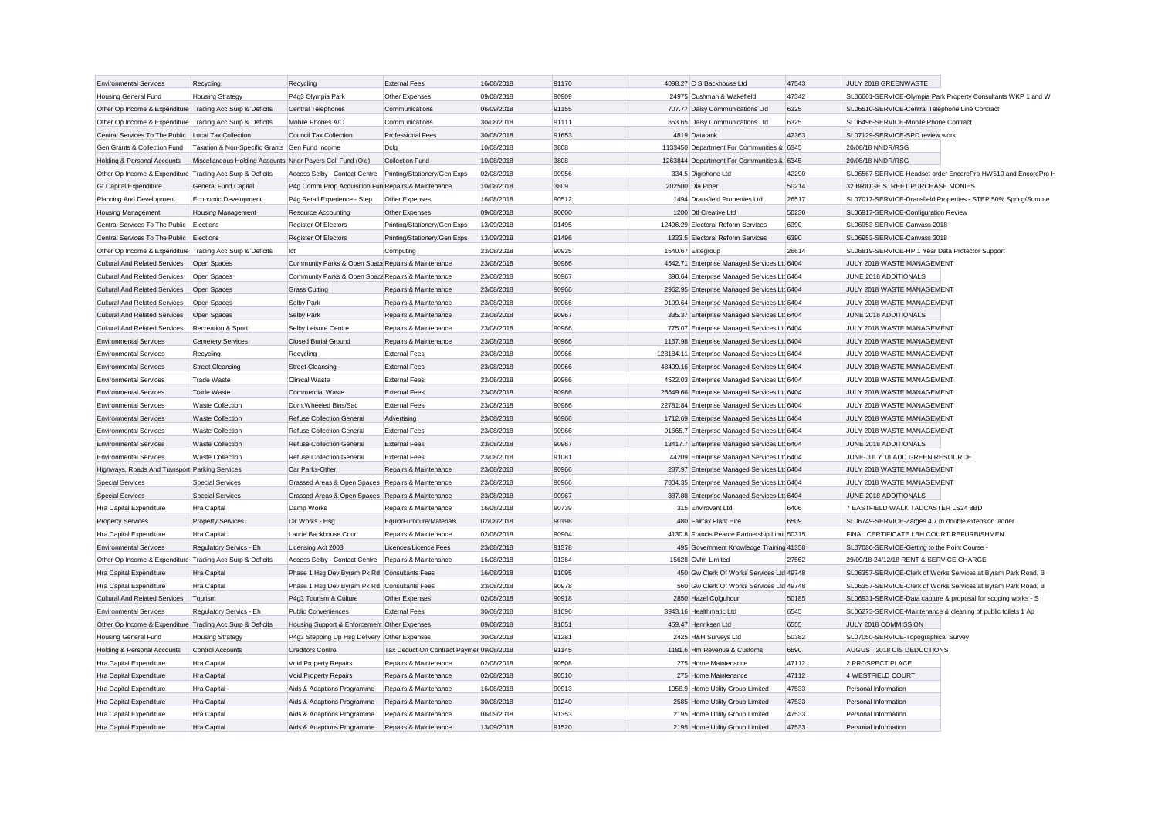| <b>Environmental Services</b>                             | Recycling                                                  | Recycling                                                     | <b>External Fees</b>                     | 16/08/2018               | 91170          | 4098.27 C S Backhouse Ltd                      | 47543 | JULY 2018 GREENWASTE                                          |                                                               |
|-----------------------------------------------------------|------------------------------------------------------------|---------------------------------------------------------------|------------------------------------------|--------------------------|----------------|------------------------------------------------|-------|---------------------------------------------------------------|---------------------------------------------------------------|
| <b>Housing General Fund</b>                               | <b>Housing Strategy</b>                                    | P4g3 Olympia Park                                             | Other Expenses                           | 09/08/2018               | 90909          | 24975 Cushman & Wakefield                      | 47342 |                                                               | SL06661-SERVICE-Olympia Park Property Consultants WKP 1 and W |
| Other Op Income & Expenditure Trading Acc Surp & Deficits |                                                            | Central Telephones                                            | Communications                           | 06/09/2018               | 91155          | 707.77 Daisy Communications Ltd                | 6325  | SL06510-SERVICE-Central Telephone Line Contract               |                                                               |
| Other Op Income & Expenditure Trading Acc Surp & Deficits |                                                            | Mobile Phones A/C                                             | Communications                           | 30/08/2018               | 91111          | 653.65 Daisy Communications Ltd                | 6325  | SL06496-SERVICE-Mobile Phone Contract                         |                                                               |
| Central Services To The Public Local Tax Collection       |                                                            | <b>Council Tax Collection</b>                                 | <b>Professional Fees</b>                 | 30/08/2018               | 91653          | 4819 Datatank                                  | 42363 | SL07129-SERVICE-SPD review work                               |                                                               |
| Gen Grants & Collection Fund                              | Taxation & Non-Specific Grants Gen Fund Income             |                                                               | Dcla                                     | 10/08/2018               | 3808           | 1133450 Department For Communities & 6345      |       | 20/08/18 NNDR/RSG                                             |                                                               |
| Holding & Personal Accounts                               | Miscellaneous Holding Accounts Nndr Payers Coll Fund (Old) |                                                               | <b>Collection Fund</b>                   | 10/08/2018               | 3808           | 1263844 Department For Communities & 6345      |       | 20/08/18 NNDR/RSG                                             |                                                               |
| Other Op Income & Expenditure Trading Acc Surp & Deficits |                                                            | Access Selby - Contact Centre                                 | Printing/Stationery/Gen Exps             | 02/08/2018               | 90956          | 334.5 Digiphone Ltd                            | 42290 |                                                               | SL06567-SERVICE-Headset order EncorePro HW510 and EncorePro H |
| <b>Gf Capital Expenditure</b>                             | <b>General Fund Capital</b>                                | P4g Comm Prop Acquisition Fun Repairs & Maintenance           |                                          | 10/08/2018               | 3809           | 202500 Dla Piper                               | 50214 | 32 BRIDGE STREET PURCHASE MONIES                              |                                                               |
| Planning And Development                                  | Economic Development                                       | P4g Retail Experience - Step                                  | Other Expenses                           | 16/08/2018               | 90512          | 1494 Dransfield Properties Ltd                 | 26517 |                                                               | SL07017-SERVICE-Dransfield Properties - STEP 50% Spring/Summe |
| <b>Housing Management</b>                                 | <b>Housing Management</b>                                  | <b>Resource Accounting</b>                                    | Other Expenses                           | 09/08/2018               | 90600          | 1200 Dtl Creative Ltd                          | 50230 | SL06917-SERVICE-Configuration Review                          |                                                               |
| Central Services To The Public                            | Elections                                                  | <b>Register Of Electors</b>                                   | Printing/Stationery/Gen Exps             | 13/09/2018               | 91495          | 12496.29 Electoral Reform Services             | 6390  | SL06953-SERVICE-Canvass 2018                                  |                                                               |
| Central Services To The Public Elections                  |                                                            | <b>Register Of Electors</b>                                   | Printing/Stationery/Gen Exps             | 13/09/2018               | 91496          | 1333.5 Electoral Reform Services               | 6390  | SL06953-SERVICE-Canvass 2018                                  |                                                               |
| Other Op Income & Expenditure Trading Acc Surp & Deficits |                                                            | Ict                                                           | Computing                                | 23/08/2018               | 90935          | 1540.67 Elitegroup                             | 26614 | SL06819-SERVICE-HP 1 Year Data Protector Support              |                                                               |
| <b>Cultural And Related Services</b>                      | Open Spaces                                                | Community Parks & Open Space Repairs & Maintenance            |                                          | 23/08/2018               | 90966          | 4542.71 Enterprise Managed Services Ltd 6404   |       | JULY 2018 WASTE MANAGEMENT                                    |                                                               |
| Cultural And Related Services                             | Open Spaces                                                | Community Parks & Open Space Repairs & Maintenance            |                                          | 23/08/2018               | 90967          | 390.64 Enterprise Managed Services Ltd 6404    |       | JUNE 2018 ADDITIONALS                                         |                                                               |
| <b>Cultural And Related Services</b>                      | Open Spaces                                                | <b>Grass Cutting</b>                                          | Repairs & Maintenance                    | 23/08/2018               | 90966          | 2962.95 Enterprise Managed Services Ltc 6404   |       | JULY 2018 WASTE MANAGEMENT                                    |                                                               |
| <b>Cultural And Related Services</b>                      | Open Spaces                                                | Selby Park                                                    | Repairs & Maintenance                    | 23/08/2018               | 90966          | 9109.64 Enterprise Managed Services Ltd 6404   |       | JULY 2018 WASTE MANAGEMENT                                    |                                                               |
| <b>Cultural And Related Services</b>                      | Open Spaces                                                | <b>Selby Park</b>                                             | Repairs & Maintenance                    | 23/08/2018               | 90967          | 335.37 Enterprise Managed Services Ltc 6404    |       | JUNE 2018 ADDITIONALS                                         |                                                               |
| <b>Cultural And Related Services</b>                      | Recreation & Sport                                         | Selby Leisure Centre                                          | Repairs & Maintenance                    | 23/08/2018               | 90966          | 775.07 Enterprise Managed Services Ltd 6404    |       | JULY 2018 WASTE MANAGEMENT                                    |                                                               |
| <b>Environmental Services</b>                             | <b>Cemetery Services</b>                                   | <b>Closed Burial Ground</b>                                   | Repairs & Maintenance                    | 23/08/2018               | 90966          | 1167.98 Enterprise Managed Services Ltc 6404   |       | JULY 2018 WASTE MANAGEMENT                                    |                                                               |
| <b>Environmental Services</b>                             | Recycling                                                  | Recycling                                                     | <b>External Fees</b>                     | 23/08/2018               | 90966          | 128184.11 Enterprise Managed Services Ltd 6404 |       | JULY 2018 WASTE MANAGEMENT                                    |                                                               |
| <b>Environmental Services</b>                             | <b>Street Cleansing</b>                                    | <b>Street Cleansing</b>                                       | <b>External Fees</b>                     | 23/08/2018               | 90966          | 48409.16 Enterprise Managed Services Ltc 6404  |       | JULY 2018 WASTE MANAGEMENT                                    |                                                               |
| <b>Environmental Services</b>                             | <b>Trade Waste</b>                                         | <b>Clinical Waste</b>                                         | <b>External Fees</b>                     | 23/08/2018               | 90966          | 4522.03 Enterprise Managed Services Ltd 6404   |       | JULY 2018 WASTE MANAGEMENT                                    |                                                               |
| <b>Environmental Services</b>                             | <b>Trade Waste</b>                                         | <b>Commercial Waste</b>                                       | <b>External Fees</b>                     | 23/08/2018               | 90966          | 26649.66 Enterprise Managed Services Ltc 6404  |       | JULY 2018 WASTE MANAGEMENT                                    |                                                               |
| <b>Environmental Services</b>                             | <b>Waste Collection</b>                                    | Dom.Wheeled Bins/Sac                                          | <b>External Fees</b>                     | 23/08/2018               | 90966          | 22781.84 Enterprise Managed Services Ltd 6404  |       | JULY 2018 WASTE MANAGEMENT                                    |                                                               |
|                                                           |                                                            |                                                               |                                          |                          |                |                                                |       |                                                               |                                                               |
| <b>Environmental Services</b>                             | <b>Waste Collection</b><br><b>Waste Collection</b>         | <b>Refuse Collection General</b><br>Refuse Collection General | Advertising                              | 23/08/2018<br>23/08/2018 | 90966<br>90966 | 1712.69 Enterprise Managed Services Ltc 6404   |       | JULY 2018 WASTE MANAGEMENT<br>JULY 2018 WASTE MANAGEMENT      |                                                               |
| <b>Environmental Services</b>                             |                                                            |                                                               | <b>External Fees</b>                     |                          |                | 91665.7 Enterprise Managed Services Ltd 6404   |       |                                                               |                                                               |
| <b>Environmental Services</b>                             | <b>Waste Collection</b>                                    | <b>Refuse Collection General</b>                              | <b>External Fees</b>                     | 23/08/2018               | 90967          | 13417.7 Enterprise Managed Services Ltd 6404   |       | JUNE 2018 ADDITIONALS                                         |                                                               |
| <b>Environmental Services</b>                             | <b>Waste Collection</b>                                    | Refuse Collection General                                     | <b>External Fees</b>                     | 23/08/2018               | 91081          | 44209 Enterprise Managed Services Ltd 6404     |       | JUNE-JULY 18 ADD GREEN RESOURCE                               |                                                               |
| Highways, Roads And Transport Parking Services            |                                                            | Car Parks-Other                                               | Repairs & Maintenance                    | 23/08/2018               | 90966          | 287.97 Enterprise Managed Services Ltd 6404    |       | JULY 2018 WASTE MANAGEMENT                                    |                                                               |
| <b>Special Services</b>                                   | <b>Special Services</b>                                    | Grassed Areas & Open Spaces Repairs & Maintenance             |                                          | 23/08/2018               | 90966          | 7804.35 Enterprise Managed Services Ltd 6404   |       | JULY 2018 WASTE MANAGEMENT                                    |                                                               |
| <b>Special Services</b>                                   | <b>Special Services</b>                                    | Grassed Areas & Open Spaces                                   | Repairs & Maintenance                    | 23/08/2018               | 90967          | 387.88 Enterprise Managed Services Ltd 6404    |       | JUNE 2018 ADDITIONALS                                         |                                                               |
| Hra Capital Expenditure                                   | Hra Capital                                                | Damp Works                                                    | Repairs & Maintenance                    | 16/08/2018               | 90739          | 315 Envirovent Ltd                             | 6406  | 7 EASTFIELD WALK TADCASTER LS24 8BD                           |                                                               |
| <b>Property Services</b>                                  | <b>Property Services</b>                                   | Dir Works - Hsg                                               | Equip/Furniture/Materials                | 02/08/2018               | 90198          | 480 Fairfax Plant Hire                         | 6509  | SL06749-SERVICE-Zarges 4.7 m double extension ladder          |                                                               |
| Hra Capital Expenditure                                   | Hra Capital                                                | Laurie Backhouse Court                                        | Repairs & Maintenance                    | 02/08/2018               | 90904          | 4130.8 Francis Pearce Partnership Limit 50315  |       | FINAL CERTIFICATE LBH COURT REFURBISHMEN                      |                                                               |
| <b>Environmental Services</b>                             | Regulatory Servics - Eh                                    | Licensing Act 2003                                            | Licences/Licence Fees                    | 23/08/2018               | 91378          | 495 Government Knowledge Training 41358        |       | SL07086-SERVICE-Getting to the Point Course -                 |                                                               |
| Other Op Income & Expenditure Trading Acc Surp & Deficits |                                                            | Access Selby - Contact Centre                                 | Repairs & Maintenance                    | 16/08/2018               | 91364          | 15628 Gvfm Limited                             | 27552 | 29/09/18-24/12/18 RENT & SERVICE CHARGE                       |                                                               |
| Hra Capital Expenditure                                   | Hra Capital                                                | Phase 1 Hsq Dev Byram Pk Rd Consultants Fees                  |                                          | 16/08/2018               | 91095          | 450 Gw Clerk Of Works Services Ltd 49748       |       |                                                               | SL06357-SERVICE-Clerk of Works Services at Byram Park Road, B |
| Hra Capital Expenditure                                   | Hra Capital                                                | Phase 1 Hsq Dev Byram Pk Rd Consultants Fees                  |                                          | 23/08/2018               | 90978          | 560 Gw Clerk Of Works Services Ltd 49748       |       |                                                               | SL06357-SERVICE-Clerk of Works Services at Byram Park Road, B |
| <b>Cultural And Related Services</b>                      | Tourism                                                    | P4g3 Tourism & Culture                                        | Other Expenses                           | 02/08/2018               | 90918          | 2850 Hazel Colguhoun                           | 50185 | SL06931-SERVICE-Data capture & proposal for scoping works - S |                                                               |
| <b>Environmental Services</b>                             | Regulatory Servics - Eh                                    | <b>Public Conveniences</b>                                    | <b>External Fees</b>                     | 30/08/2018               | 91096          | 3943.16 Healthmatic Ltd                        | 6545  | SL06273-SERVICE-Maintenance & cleaning of public toilets 1 Ap |                                                               |
| Other Op Income & Expenditure Trading Acc Surp & Deficits |                                                            | Housing Support & Enforcement Other Expenses                  |                                          | 09/08/2018               | 91051          | 459.47 Henriksen Ltd                           | 6555  | JULY 2018 COMMISSION                                          |                                                               |
| Housing General Fund                                      | <b>Housing Strategy</b>                                    | P4g3 Stepping Up Hsg Delivery                                 | Other Expenses                           | 30/08/2018               | 91281          | 2425 H&H Surveys Ltd                           | 50382 | SL07050-SERVICE-Topographical Survey                          |                                                               |
| Holding & Personal Accounts                               | Control Accounts                                           | <b>Creditors Control</b>                                      | Tax Deduct On Contract Paymer 09/08/2018 |                          | 91145          | 1181.6 Hm Revenue & Customs                    | 6590  | AUGUST 2018 CIS DEDUCTIONS                                    |                                                               |
| Hra Capital Expenditure                                   | Hra Capital                                                | Void Property Repairs                                         | Repairs & Maintenance                    | 02/08/2018               | 90508          | 275 Home Maintenance                           | 47112 | 2 PROSPECT PLACE                                              |                                                               |
| Hra Capital Expenditure                                   | Hra Capital                                                | Void Property Repairs                                         | Repairs & Maintenance                    | 02/08/2018               | 90510          | 275 Home Maintenance                           | 47112 | 4 WESTFIELD COURT                                             |                                                               |
| Hra Capital Expenditure                                   | Hra Capital                                                | Aids & Adaptions Programme                                    | Repairs & Maintenance                    | 16/08/2018               | 90913          | 1058.9 Home Utility Group Limited              | 47533 | Personal Information                                          |                                                               |
| Hra Capital Expenditure                                   | <b>Hra Capital</b>                                         | Aids & Adaptions Programme                                    | Repairs & Maintenance                    | 30/08/2018               | 91240          | 2585 Home Utility Group Limited                | 47533 | Personal Information                                          |                                                               |
| Hra Capital Expenditure                                   | Hra Capital                                                | Aids & Adaptions Programme                                    | Repairs & Maintenance                    | 06/09/2018               | 91353          | 2195 Home Utility Group Limited                | 47533 | Personal Information                                          |                                                               |
| Hra Capital Expenditure                                   | Hra Capital                                                | Aids & Adaptions Programme                                    | Repairs & Maintenance                    | 13/09/2018               | 91520          | 2195 Home Utility Group Limited                | 47533 | Personal Information                                          |                                                               |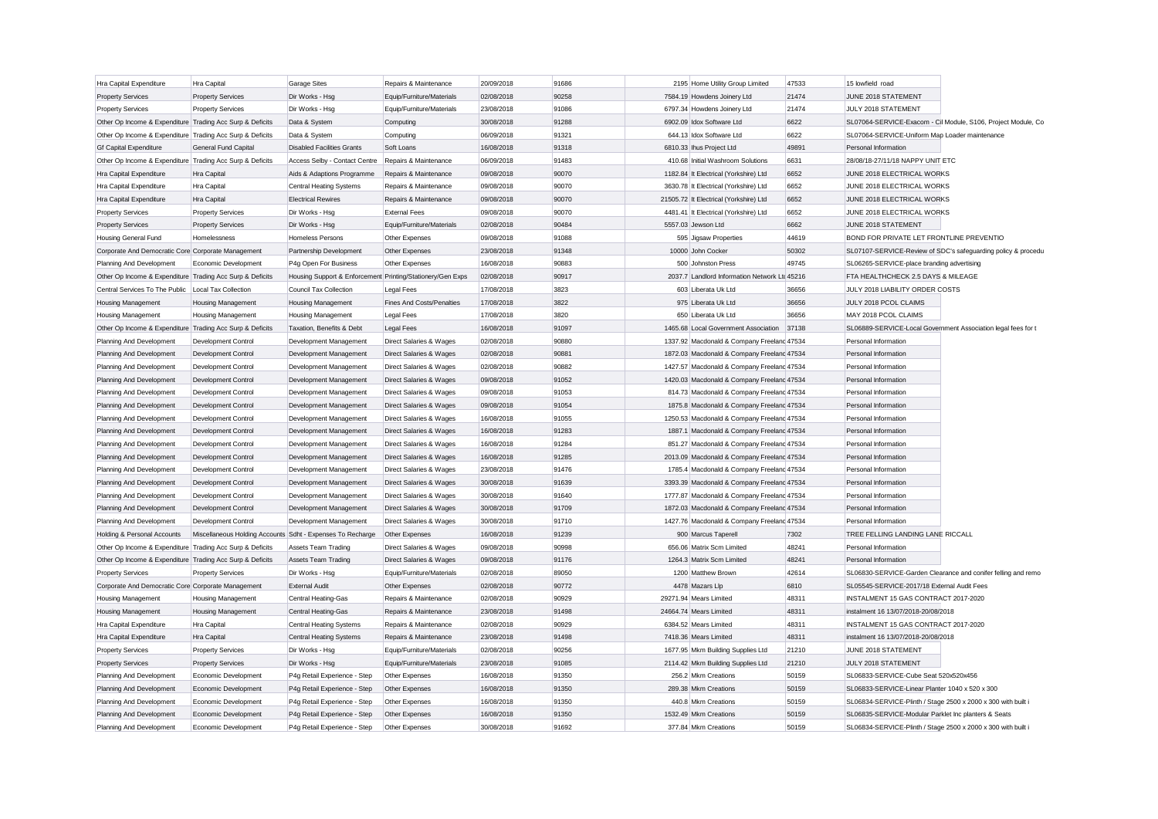| Hra Capital Expenditure                                   | Hra Capital                                                | <b>Garage Sites</b>                                        | Repairs & Maintenance                              | 20/09/2018               | 91686          | 2195 Home Utility Group Limited                                                         | 47533          | 15 lowfield road                                              |                                                               |
|-----------------------------------------------------------|------------------------------------------------------------|------------------------------------------------------------|----------------------------------------------------|--------------------------|----------------|-----------------------------------------------------------------------------------------|----------------|---------------------------------------------------------------|---------------------------------------------------------------|
| <b>Property Services</b>                                  | <b>Property Services</b>                                   | Dir Works - Hso                                            | Equip/Furniture/Materials                          | 02/08/2018               | 90258          | 7584.19 Howdens Joinery Ltd                                                             | 21474          | JUNE 2018 STATEMENT                                           |                                                               |
| <b>Property Services</b>                                  | <b>Property Services</b>                                   | Dir Works - Hsg                                            | Equip/Furniture/Materials                          | 23/08/2018               | 91086          | 6797.34 Howdens Joinery Ltd                                                             | 21474          | JULY 2018 STATEMENT                                           |                                                               |
| Other Op Income & Expenditure Trading Acc Surp & Deficits |                                                            | Data & System                                              | Computing                                          | 30/08/2018               | 91288          | 6902.09 Idox Software Ltd                                                               | 6622           |                                                               | SL07064-SERVICE-Exacom - Cil Module, S106, Project Module, Co |
| Other Op Income & Expenditure Trading Acc Surp & Deficits |                                                            | Data & System                                              | Computing                                          | 06/09/2018               | 91321          | 644.13 Idox Software Ltd                                                                | 6622           | SL07064-SERVICE-Uniform Map Loader maintenance                |                                                               |
| <b>Gf Capital Expenditure</b>                             | General Fund Capital                                       | <b>Disabled Facilities Grants</b>                          | Soft Loans                                         | 16/08/2018               | 91318          | 6810.33 Ihus Project Ltd                                                                | 49891          | Personal Information                                          |                                                               |
| Other Op Income & Expenditure Trading Acc Surp & Deficits |                                                            | Access Selby - Contact Centre                              | Repairs & Maintenance                              | 06/09/2018               | 91483          | 410.68 Initial Washroom Solutions                                                       | 6631           | 28/08/18-27/11/18 NAPPY UNIT ETC                              |                                                               |
| Hra Capital Expenditure                                   | Hra Capital                                                | Aids & Adaptions Programme                                 | Repairs & Maintenance                              | 09/08/2018               | 90070          | 1182.84 It Electrical (Yorkshire) Ltd                                                   | 6652           | JUNE 2018 ELECTRICAL WORKS                                    |                                                               |
| Hra Capital Expenditure                                   | Hra Capital                                                | Central Heating Systems                                    | Repairs & Maintenance                              | 09/08/2018               | 90070          | 3630.78 It Electrical (Yorkshire) Ltd                                                   | 6652           | JUNE 2018 ELECTRICAL WORKS                                    |                                                               |
| Hra Capital Expenditure                                   | Hra Capital                                                | <b>Electrical Rewires</b>                                  | Repairs & Maintenance                              | 09/08/2018               | 90070          | 21505.72 It Electrical (Yorkshire) Ltd                                                  | 6652           | JUNE 2018 ELECTRICAL WORKS                                    |                                                               |
| <b>Property Services</b>                                  | <b>Property Services</b>                                   | Dir Works - Hsg                                            | <b>External Fees</b>                               | 09/08/2018               | 90070          | 4481.41 It Electrical (Yorkshire) Ltd                                                   | 6652           | JUNE 2018 ELECTRICAL WORKS                                    |                                                               |
| <b>Property Services</b>                                  | <b>Property Services</b>                                   | Dir Works - Hsg                                            | Equip/Furniture/Materials                          | 02/08/2018               | 90484          | 5557.03 Jewson Ltd                                                                      | 6662           | JUNE 2018 STATEMENT                                           |                                                               |
| Housing General Fund                                      | Homelessness                                               | <b>Homeless Persons</b>                                    | Other Expenses                                     | 09/08/2018               | 91088          | 595 Jigsaw Properties                                                                   | 44619          | BOND FOR PRIVATE LET FRONTLINE PREVENTIO                      |                                                               |
| Corporate And Democratic Core Corporate Management        |                                                            | Partnership Development                                    | Other Expenses                                     | 23/08/2018               | 91348          | 10000 John Cocker                                                                       | 50302          |                                                               | SL07107-SERVICE-Review of SDC's safeguarding policy & procedu |
| Planning And Development                                  | Economic Development                                       | P4g Open For Business                                      | Other Expenses                                     | 16/08/2018               | 90883          | 500 Johnston Press                                                                      | 49745          | SL06265-SERVICE-place branding advertising                    |                                                               |
| Other Op Income & Expenditure Trading Acc Surp & Deficits |                                                            | Housing Support & Enforcement Printing/Stationery/Gen Exps |                                                    | 02/08/2018               | 90917          | 2037.7 Landlord Information Network Ltd 45216                                           |                | FTA HEALTHCHECK 2.5 DAYS & MILEAGE                            |                                                               |
| Central Services To The Public                            | Local Tax Collection                                       | Council Tax Collection                                     | <b>Legal Fees</b>                                  | 17/08/2018               | 3823           | 603 Liberata Uk Ltd                                                                     | 36656          | JULY 2018 LIABILITY ORDER COSTS                               |                                                               |
| Housing Management                                        | Housing Management                                         | <b>Housing Management</b>                                  | <b>Fines And Costs/Penalties</b>                   | 17/08/2018               | 3822           | 975 Liberata Uk Ltd                                                                     | 36656          | JULY 2018 PCOL CLAIMS                                         |                                                               |
| Housing Management                                        | <b>Housing Management</b>                                  | <b>Housing Management</b>                                  | <b>Legal Fees</b>                                  | 17/08/2018               | 3820           | 650 Liberata Uk Ltd                                                                     | 36656          | MAY 2018 PCOL CLAIMS                                          |                                                               |
| Other Op Income & Expenditure Trading Acc Surp & Deficits |                                                            | Taxation, Benefits & Debt                                  | <b>Legal Fees</b>                                  | 16/08/2018               | 91097          | 1465.68 Local Government Association 37138                                              |                | SL06889-SERVICE-Local Government Association legal fees for t |                                                               |
|                                                           | Development Control                                        | Development Management                                     | Direct Salaries & Wages                            | 02/08/2018               | 90880          | 1337.92 Macdonald & Company Freeland 47534                                              |                | Personal Information                                          |                                                               |
| Planning And Development<br>Planning And Development      | Development Control                                        | Development Management                                     | Direct Salaries & Wages                            | 02/08/2018               | 90881          | 1872.03 Macdonald & Company Freeland 47534                                              |                | Personal Information                                          |                                                               |
| Planning And Development                                  | <b>Development Control</b>                                 | Development Management                                     | Direct Salaries & Wages                            | 02/08/2018               | 90882          | 1427.57 Macdonald & Company Freeland 47534                                              |                | Personal Information                                          |                                                               |
| Planning And Development                                  | Development Control                                        | Development Management                                     | Direct Salaries & Wages                            | 09/08/2018               | 91052          | 1420.03 Macdonald & Company Freeland 47534                                              |                | Personal Information                                          |                                                               |
|                                                           | Development Control                                        | Development Management                                     |                                                    | 09/08/2018               | 91053          | 814.73 Macdonald & Company Freeland 47534                                               |                | Personal Information                                          |                                                               |
| Planning And Development                                  | Development Control                                        |                                                            | Direct Salaries & Wages<br>Direct Salaries & Wages | 09/08/2018               | 91054          | 1875.8 Macdonald & Company Freeland 47534                                               |                | Personal Information                                          |                                                               |
| Planning And Development                                  |                                                            | Development Management                                     |                                                    |                          | 91055          |                                                                                         |                |                                                               |                                                               |
| Planning And Development                                  | <b>Development Control</b>                                 | Development Management                                     | Direct Salaries & Wages                            | 16/08/2018               | 91283          | 1250.53 Macdonald & Company Freeland 47534                                              |                | Personal Information<br>Personal Information                  |                                                               |
| Planning And Development                                  | Development Control                                        | Development Management                                     | Direct Salaries & Wages                            | 16/08/2018               | 91284          | 1887.1 Macdonald & Company Freelanc 47534                                               |                | Personal Information                                          |                                                               |
| Planning And Development                                  | Development Control<br>Development Control                 | Development Management<br>Development Management           | Direct Salaries & Wages<br>Direct Salaries & Wages | 16/08/2018<br>16/08/2018 | 91285          | 851.27 Macdonald & Company Freeland 47534<br>2013.09 Macdonald & Company Freeland 47534 |                | Personal Information                                          |                                                               |
| Planning And Development                                  |                                                            |                                                            |                                                    |                          | 91476          | 1785.4 Macdonald & Company Freeland 47534                                               |                |                                                               |                                                               |
| Planning And Development                                  | Development Control<br>Development Control                 | Development Management<br>Development Management           | Direct Salaries & Wages<br>Direct Salaries & Wages | 23/08/2018<br>30/08/2018 | 91639          | 3393.39 Macdonald & Company Freeland 47534                                              |                | Personal Information<br>Personal Information                  |                                                               |
| Planning And Development                                  |                                                            |                                                            |                                                    |                          | 91640          |                                                                                         |                |                                                               |                                                               |
| Planning And Development                                  | Development Control                                        | Development Management                                     | Direct Salaries & Wages                            | 30/08/2018               | 91709          | 1777.87 Macdonald & Company Freeland 47534                                              |                | Personal Information<br>Personal Information                  |                                                               |
| Planning And Development                                  | <b>Development Control</b>                                 | Development Management                                     | Direct Salaries & Wages                            | 30/08/2018               | 91710          | 1872.03 Macdonald & Company Freelanc 47534                                              |                |                                                               |                                                               |
| Planning And Development                                  | <b>Development Control</b>                                 | Development Management                                     | Direct Salaries & Wages                            | 30/08/2018               | 91239          | 1427.76 Macdonald & Company Freeland 47534                                              | 7302           | Personal Information<br>TREE FELLING LANDING LANE RICCALL     |                                                               |
| <b>Holding &amp; Personal Accounts</b>                    | Miscellaneous Holding Accounts Sdht - Expenses To Recharge |                                                            | Other Expenses                                     | 16/08/2018<br>09/08/2018 | 90998          | 900 Marcus Taperell<br>656.06 Matrix Scm Limited                                        | 48241          | Personal Information                                          |                                                               |
| Other Op Income & Expenditure Trading Acc Surp & Deficits |                                                            | Assets Team Trading                                        | Direct Salaries & Wages                            | 09/08/2018               | 91176          | 1264.3 Matrix Scm Limited                                                               | 48241          | Personal Information                                          |                                                               |
| Other Op Income & Expenditure Trading Acc Surp & Deficits |                                                            | <b>Assets Team Trading</b>                                 | Direct Salaries & Wages                            |                          |                |                                                                                         |                |                                                               |                                                               |
| <b>Property Services</b>                                  | <b>Property Services</b>                                   | Dir Works - Hsg                                            | Equip/Furniture/Materials                          | 02/08/2018               | 89050          | 1200 Matthew Brown                                                                      | 42614          |                                                               | SL06830-SERVICE-Garden Clearance and conifer felling and remo |
| Corporate And Democratic Core Corporate Management        |                                                            | <b>External Audit</b>                                      | Other Expenses                                     | 02/08/2018               | 90772          | 4478 Mazars Lip                                                                         | 6810           | SL05545-SERVICE-2017/18 External Audit Fees                   |                                                               |
| Housing Management                                        | Housing Management                                         | Central Heating-Gas                                        | Repairs & Maintenance                              | 02/08/2018               | 90929          | 29271.94 Mears Limited                                                                  | 48311          | INSTALMENT 15 GAS CONTRACT 2017-2020                          |                                                               |
| <b>Housing Management</b>                                 | <b>Housing Management</b>                                  | <b>Central Heating-Gas</b>                                 | Repairs & Maintenance                              | 23/08/2018               | 91498          | 24664.74 Mears Limited<br>6384.52 Mears Limited                                         | 48311          | instalment 16 13/07/2018-20/08/2018                           |                                                               |
| Hra Capital Expenditure                                   | Hra Capital                                                | <b>Central Heating Systems</b>                             | Repairs & Maintenance                              | 02/08/2018               | 90929          |                                                                                         | 48311          | INSTALMENT 15 GAS CONTRACT 2017-2020                          |                                                               |
| Hra Capital Expenditure                                   | Hra Capital                                                | <b>Central Heating Systems</b>                             | Repairs & Maintenance                              | 23/08/2018               | 91498<br>90256 | 7418.36 Mears Limited                                                                   | 48311<br>21210 | instalment 16 13/07/2018-20/08/2018<br>JUNE 2018 STATEMENT    |                                                               |
| <b>Property Services</b>                                  | <b>Property Services</b>                                   | Dir Works - Hsg                                            | Equip/Furniture/Materials                          | 02/08/2018               |                | 1677.95 Mkm Building Supplies Ltd                                                       |                |                                                               |                                                               |
| <b>Property Services</b>                                  | <b>Property Services</b>                                   | Dir Works - Hsg                                            | Equip/Furniture/Materials                          | 23/08/2018               | 91085          | 2114.42 Mkm Building Supplies Ltd                                                       | 21210          | JULY 2018 STATEMENT                                           |                                                               |
| Planning And Development                                  | Economic Development                                       | P4q Retail Experience - Step                               | Other Expenses                                     | 16/08/2018               | 91350          | 256.2 Mkm Creations                                                                     | 50159          | SL06833-SERVICE-Cube Seat 520x520x456                         |                                                               |
| Planning And Development                                  | Economic Development                                       | P4g Retail Experience - Step                               | Other Expenses                                     | 16/08/2018               | 91350          | 289.38 Mkm Creations                                                                    | 50159          | SL06833-SERVICE-Linear Planter 1040 x 520 x 300               |                                                               |
| Planning And Development                                  | Economic Development                                       | P4q Retail Experience - Step                               | Other Expenses                                     | 16/08/2018               | 91350          | 440.8 Mkm Creations                                                                     | 50159          | SL06834-SERVICE-Plinth / Stage 2500 x 2000 x 300 with built i |                                                               |
| Planning And Development                                  | Economic Development                                       | P4g Retail Experience - Step                               | Other Expenses                                     | 16/08/2018               | 91350          | 1532.49 Mkm Creations                                                                   | 50159          | SL06835-SERVICE-Modular Parklet Inc planters & Seats          |                                                               |
| Planning And Development                                  | Economic Development                                       | P4g Retail Experience - Step                               | Other Expenses                                     | 30/08/2018               | 91692          | 377 84 Mkm Creations                                                                    | 50159          | SL06834-SERVICE-Plinth / Stage 2500 x 2000 x 300 with built   |                                                               |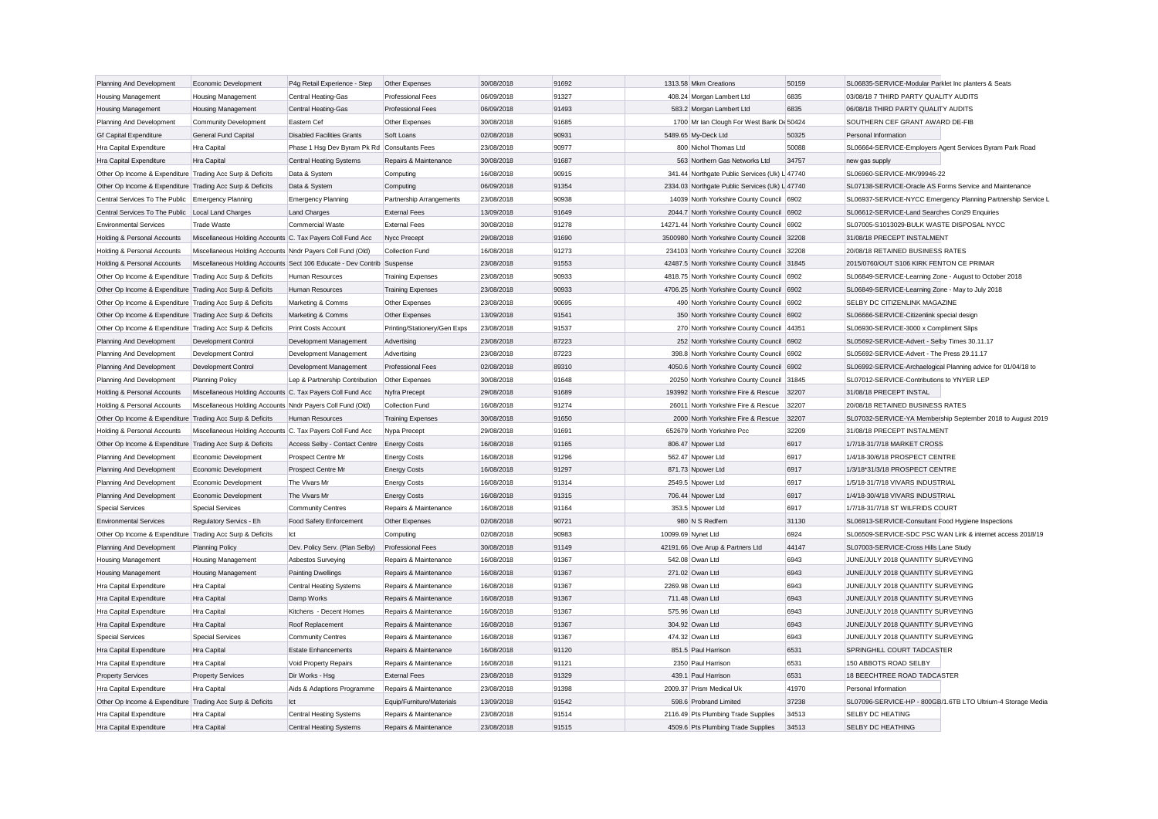| Planning And Development                                  | Economic Development                                                   | P4g Retail Experience - Step                        | Other Expenses               | 30/08/2018 | 91692 | 1313.58 Mkm Creations                          | 50159 | SL06835-SERVICE-Modular Parklet Inc planters & Seats          |
|-----------------------------------------------------------|------------------------------------------------------------------------|-----------------------------------------------------|------------------------------|------------|-------|------------------------------------------------|-------|---------------------------------------------------------------|
| Housing Management                                        | Housing Management                                                     | Central Heating-Gas                                 | <b>Professional Fees</b>     | 06/09/2018 | 91327 | 408.24 Morgan Lambert Ltd                      | 6835  | 03/08/18 7 THIRD PARTY QUALITY AUDITS                         |
| <b>Housing Management</b>                                 | Housing Management                                                     | Central Heating-Gas                                 | Professional Fees            | 06/09/2018 | 91493 | 583.2 Morgan Lambert Ltd                       | 6835  | 06/08/18 THIRD PARTY QUALITY AUDITS                           |
| Planning And Development                                  | <b>Community Development</b>                                           | Eastern Cef                                         | Other Expenses               | 30/08/2018 | 91685 | 1700 Mr Ian Clough For West Bank De 50424      |       | SOUTHERN CEF GRANT AWARD DE-FIB                               |
| <b>Gf Capital Expenditure</b>                             | <b>General Fund Capital</b>                                            | <b>Disabled Facilities Grants</b>                   | Soft Loans                   | 02/08/2018 | 90931 | 5489.65 My-Deck Ltd                            | 50325 | Personal Information                                          |
| Hra Capital Expenditure                                   | Hra Capital                                                            | Phase 1 Hsg Dev Byram Pk Rd Consultants Fees        |                              | 23/08/2018 | 90977 | 800 Nichol Thomas Ltd                          | 50088 | SL06664-SERVICE-Employers Agent Services Byram Park Road      |
| Hra Capital Expenditure                                   | Hra Capital                                                            | <b>Central Heating Systems</b>                      | Repairs & Maintenance        | 30/08/2018 | 91687 | 563 Northern Gas Networks Ltd                  | 34757 | new gas supply                                                |
| Other Op Income & Expenditure Trading Acc Surp & Deficits |                                                                        | Data & System                                       | Computing                    | 16/08/2018 | 90915 | 341.44 Northgate Public Services (Uk) L 47740  |       | SL06960-SERVICE-MK/99946-22                                   |
| Other Op Income & Expenditure Trading Acc Surp & Deficits |                                                                        | Data & System                                       | Computing                    | 06/09/2018 | 91354 | 2334.03 Northgate Public Services (Uk) L 47740 |       | SL07138-SERVICE-Oracle AS Forms Service and Maintenance       |
| Central Services To The Public Emergency Planning         |                                                                        | <b>Emergency Planning</b>                           | Partnership Arrangements     | 23/08/2018 | 90938 | 14039 North Yorkshire County Council 6902      |       | SL06937-SERVICE-NYCC Emergency Planning Partnership Service L |
| Central Services To The Public                            | Local Land Charges                                                     | <b>Land Charges</b>                                 | <b>External Fees</b>         | 13/09/2018 | 91649 | 2044.7 North Yorkshire County Council          | 6902  | SL06612-SERVICE-Land Searches Con29 Enquiries                 |
| <b>Environmental Services</b>                             | <b>Trade Waste</b>                                                     | <b>Commercial Waste</b>                             | <b>External Fees</b>         | 30/08/2018 | 91278 | 14271.44 North Yorkshire County Council 6902   |       | SL07005-S1013029-BULK WASTE DISPOSAL NYCC                     |
| Holding & Personal Accounts                               | Miscellaneous Holding Accounts C. Tax Payers Coll Fund Acc             |                                                     | Nycc Precept                 | 29/08/2018 | 91690 | 3500980 North Yorkshire County Council 32208   |       | 31/08/18 PRECEPT INSTALMENT                                   |
| Holding & Personal Accounts                               | Miscellaneous Holding Accounts Nndr Payers Coll Fund (Old)             |                                                     | Collection Fund              | 16/08/2018 | 91273 | 234103 North Yorkshire County Council 32208    |       | 20/08/18 RETAINED BUSINESS RATES                              |
| Holding & Personal Accounts                               | Miscellaneous Holding Accounts Sect 106 Educate - Dev Contrib Suspense |                                                     |                              | 23/08/2018 | 91553 | 42487.5 North Yorkshire County Council 31845   |       | 2015/0760/OUT S106 KIRK FENTON CE PRIMAR                      |
| Other Op Income & Expenditure Trading Acc Surp & Deficits |                                                                        | Human Resources                                     | <b>Training Expenses</b>     | 23/08/2018 | 90933 | 4818.75 North Yorkshire County Council 6902    |       | SL06849-SERVICE-Learning Zone - August to October 2018        |
| Other Op Income & Expenditure Trading Acc Surp & Deficits |                                                                        | Human Resources                                     | <b>Training Expenses</b>     | 23/08/2018 | 90933 | 4706.25 North Yorkshire County Council 6902    |       | SL06849-SERVICE-Learning Zone - May to July 2018              |
| Other Op Income & Expenditure Trading Acc Surp & Deficits |                                                                        | Marketing & Comms                                   | Other Expenses               | 23/08/2018 | 90695 | 490 North Yorkshire County Council             | 6902  | SELBY DC CITIZENLINK MAGAZINE                                 |
| Other Op Income & Expenditure Trading Acc Surp & Deficits |                                                                        | Marketing & Comms                                   | Other Expenses               | 13/09/2018 | 91541 | 350 North Yorkshire County Council 6902        |       | SL06666-SERVICE-Citizenlink special design                    |
| Other Op Income & Expenditure Trading Acc Surp & Deficits |                                                                        | Print Costs Account                                 | Printing/Stationery/Gen Exps | 23/08/2018 | 91537 | 270 North Yorkshire County Council 44351       |       | SL06930-SERVICE-3000 x Compliment Slips                       |
| Planning And Development                                  | Development Control                                                    | Development Management                              | Advertising                  | 23/08/2018 | 87223 | 252 North Yorkshire County Council 6902        |       | SL05692-SERVICE-Advert - Selby Times 30.11.17                 |
| Planning And Development                                  | Development Control                                                    | Development Management                              | Advertising                  | 23/08/2018 | 87223 | 398.8 North Yorkshire County Council 6902      |       | SL05692-SERVICE-Advert - The Press 29.11.17                   |
| Planning And Development                                  | <b>Development Control</b>                                             | Development Management                              | <b>Professional Fees</b>     | 02/08/2018 | 89310 | 4050.6 North Yorkshire County Council 6902     |       | SL06992-SERVICE-Archaelogical Planning advice for 01/04/18 to |
| Planning And Development                                  | <b>Planning Policy</b>                                                 | Lep & Partnership Contribution                      | Other Expenses               | 30/08/2018 | 91648 | 20250 North Yorkshire County Council 31845     |       | SL07012-SERVICE-Contributions to YNYER LEP                    |
| Holding & Personal Accounts                               | Miscellaneous Holding Accounts C. Tax Payers Coll Fund Acc             |                                                     | Nyfra Precept                | 29/08/2018 | 91689 | 193992 North Yorkshire Fire & Rescue           | 32207 | 31/08/18 PRECEPT INSTAL                                       |
| Holding & Personal Accounts                               | Miscellaneous Holding Accounts Nndr Payers Coll Fund (Old)             |                                                     | Collection Fund              | 16/08/2018 | 91274 | 26011 North Yorkshire Fire & Rescue            | 32207 | 20/08/18 RETAINED BUSINESS RATES                              |
| Other Op Income & Expenditure Trading Acc Surp & Deficits |                                                                        | Human Resources                                     | <b>Training Expenses</b>     | 30/08/2018 | 91650 | 2000 North Yorkshire Fire & Rescue             | 32207 | SL07032-SERVICE-YA Membership September 2018 to August 2019   |
| Holding & Personal Accounts                               | Miscellaneous Holding Accounts C. Tax Payers Coll Fund Acc             |                                                     | Nypa Precept                 | 29/08/2018 | 91691 | 652679 North Yorkshire Pcc                     | 32209 | 31/08/18 PRECEPT INSTALMENT                                   |
|                                                           |                                                                        |                                                     |                              | 16/08/2018 | 91165 | 806.47 Npower Ltd                              | 6917  | 1/7/18-31/7/18 MARKET CROSS                                   |
| Other Op Income & Expenditure Trading Acc Surp & Deficits | Economic Development                                                   | Access Selby - Contact Centre<br>Prospect Centre Mr | <b>Energy Costs</b>          | 16/08/2018 | 91296 | 562.47 Npower Ltd                              | 6917  | 1/4/18-30/6/18 PROSPECT CENTRE                                |
| Planning And Development                                  |                                                                        |                                                     | <b>Energy Costs</b>          |            |       |                                                |       |                                                               |
| Planning And Development                                  | Economic Development                                                   | Prospect Centre Mr                                  | <b>Energy Costs</b>          | 16/08/2018 | 91297 | 871.73 Npower Ltd                              | 6917  | 1/3/18*31/3/18 PROSPECT CENTRE                                |
| Planning And Development                                  | Economic Development                                                   | The Vivars Mr                                       | <b>Energy Costs</b>          | 16/08/2018 | 91314 | 2549.5 Npower Ltd                              | 6917  | 1/5/18-31/7/18 VIVARS INDUSTRIAL                              |
| Planning And Development                                  | Economic Development                                                   | The Vivars Mr                                       | <b>Energy Costs</b>          | 16/08/2018 | 91315 | 706.44 Npower Ltd                              | 6917  | 1/4/18-30/4/18 VIVARS INDUSTRIAL                              |
| <b>Special Services</b>                                   | <b>Special Services</b>                                                | <b>Community Centres</b>                            | Repairs & Maintenance        | 16/08/2018 | 91164 | 353.5 Npower Ltd                               | 6917  | 1/7/18-31/7/18 ST WILFRIDS COURT                              |
| <b>Environmental Services</b>                             | Regulatory Servics - Eh                                                | Food Safety Enforcement                             | Other Expenses               | 02/08/2018 | 90721 | 980 N S Redfern                                | 31130 | SL06913-SERVICE-Consultant Food Hygiene Inspections           |
| Other Op Income & Expenditure Trading Acc Surp & Deficits |                                                                        | Ict                                                 | Computing                    | 02/08/2018 | 90983 | 10099.69 Nynet Ltd                             | 6924  | SL06509-SERVICE-SDC PSC WAN Link & internet access 2018/19    |
| Planning And Development                                  | <b>Planning Policy</b>                                                 | Dev. Policy Serv. (Plan Selby)                      | <b>Professional Fees</b>     | 30/08/2018 | 91149 | 42191.66 Ove Arup & Partners Ltd               | 44147 | SL07003-SERVICE-Cross Hills Lane Study                        |
| <b>Housing Management</b>                                 | <b>Housing Management</b>                                              | Asbestos Surveying                                  | Repairs & Maintenance        | 16/08/2018 | 91367 | 542.08 Owan Ltd                                | 6943  | JUNE/JULY 2018 QUANTITY SURVEYING                             |
| Housing Management                                        | <b>Housing Management</b>                                              | <b>Painting Dwellings</b>                           | Repairs & Maintenance        | 16/08/2018 | 91367 | 271.02 Owan Ltd                                | 6943  | JUNE/JULY 2018 QUANTITY SURVEYING                             |
| Hra Capital Expenditure                                   | Hra Capital                                                            | <b>Central Heating Systems</b>                      | Repairs & Maintenance        | 16/08/2018 | 91367 | 2269.98 Owan Ltd                               | 6943  | JUNE/JULY 2018 QUANTITY SURVEYING                             |
| Hra Capital Expenditure                                   | Hra Capital                                                            | Damp Works                                          | Repairs & Maintenance        | 16/08/2018 | 91367 | 711.48 Owan Ltd                                | 6943  | JUNE/JULY 2018 QUANTITY SURVEYING                             |
| Hra Capital Expenditure                                   | Hra Capital                                                            | Kitchens - Decent Homes                             | Repairs & Maintenance        | 16/08/2018 | 91367 | 575.96 Owan Ltd                                | 6943  | JUNE/JULY 2018 QUANTITY SURVEYING                             |
| Hra Capital Expenditure                                   | Hra Capital                                                            | Roof Replacement                                    | Repairs & Maintenance        | 16/08/2018 | 91367 | 304.92 Owan Ltd                                | 6943  | JUNE/JULY 2018 QUANTITY SURVEYING                             |
| <b>Special Services</b>                                   | <b>Special Services</b>                                                | <b>Community Centres</b>                            | Repairs & Maintenance        | 16/08/2018 | 91367 | 474.32 Owan Ltd                                | 6943  | JUNE/JULY 2018 QUANTITY SURVEYING                             |
| Hra Capital Expenditure                                   | Hra Capital                                                            | <b>Estate Enhancements</b>                          | Repairs & Maintenance        | 16/08/2018 | 91120 | 851.5 Paul Harrison                            | 6531  | SPRINGHILL COURT TADCASTER                                    |
| Hra Capital Expenditure                                   | Hra Capital                                                            | Void Property Repairs                               | Repairs & Maintenance        | 16/08/2018 | 91121 | 2350 Paul Harrison                             | 6531  | 150 ABBOTS ROAD SELBY                                         |
| <b>Property Services</b>                                  | <b>Property Services</b>                                               | Dir Works - Hsg                                     | <b>External Fees</b>         | 23/08/2018 | 91329 | 439.1 Paul Harrison                            | 6531  | 18 BEECHTREE ROAD TADCASTER                                   |
| Hra Capital Expenditure                                   | Hra Capital                                                            | Aids & Adaptions Programme                          | Repairs & Maintenance        | 23/08/2018 | 91398 | 2009.37 Prism Medical Uk                       | 41970 | Personal Information                                          |
| Other Op Income & Expenditure Trading Acc Surp & Deficits |                                                                        | Ict                                                 | Equip/Furniture/Materials    | 13/09/2018 | 91542 | 598.6 Probrand Limited                         | 37238 | SL07096-SERVICE-HP - 800GB/1.6TB LTO Ultrium-4 Storage Media  |
| Hra Capital Expenditure                                   | Hra Capital                                                            | <b>Central Heating Systems</b>                      | Repairs & Maintenance        | 23/08/2018 | 91514 | 2116.49 Pts Plumbing Trade Supplies            | 34513 | SELBY DC HEATING                                              |
| Hra Capital Expenditure                                   | Hra Capital                                                            | <b>Central Heating Systems</b>                      | Repairs & Maintenance        | 23/08/2018 | 91515 | 4509.6 Pts Plumbing Trade Supplies             | 34513 | SELBY DC HEATHING                                             |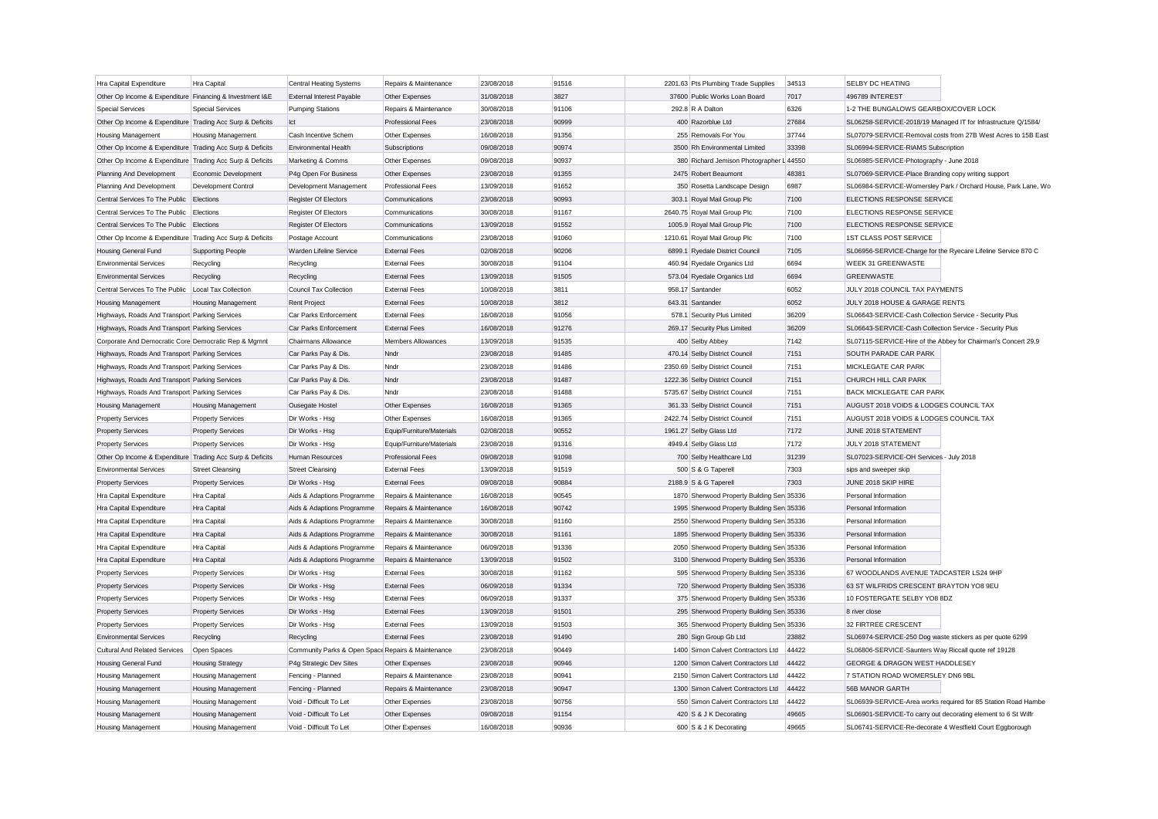| Hra Capital Expenditure                                   | Hra Capital               | <b>Central Heating Systems</b>                     | Repairs & Maintenance     | 23/08/2018 | 91516 | 2201.63 Pts Plumbing Trade Supplies        | 34513 | SELBY DC HEATING                                              |                                                               |
|-----------------------------------------------------------|---------------------------|----------------------------------------------------|---------------------------|------------|-------|--------------------------------------------|-------|---------------------------------------------------------------|---------------------------------------------------------------|
| Other Op Income & Expenditure Financing & Investment I&E  |                           | <b>External Interest Pavable</b>                   | Other Expenses            | 31/08/2018 | 3827  | 37600 Public Works Loan Board              | 7017  | 496789 INTEREST                                               |                                                               |
| <b>Special Services</b>                                   | <b>Special Services</b>   | <b>Pumping Stations</b>                            | Repairs & Maintenance     | 30/08/2018 | 91106 | 292.8 R A Dalton                           | 6326  | 1-2 THE BUNGALOWS GEARBOX/COVER LOCK                          |                                                               |
| Other Op Income & Expenditure Trading Acc Surp & Deficits |                           | Ict                                                | Professional Fees         | 23/08/2018 | 90999 | 400 Razorblue Ltd                          | 27684 |                                                               | SL06258-SERVICE-2018/19 Managed IT for Infrastructure Q/1584/ |
| <b>Housing Management</b>                                 | <b>Housing Management</b> | Cash Incentive Schem                               | Other Expenses            | 16/08/2018 | 91356 | 255 Removals For You                       | 37744 |                                                               | SL07079-SERVICE-Removal costs from 27B West Acres to 15B East |
| Other Op Income & Expenditure Trading Acc Surp & Deficits |                           | Environmental Health                               | Subscriptions             | 09/08/2018 | 90974 | 3500 Rh Environmental Limited              | 33398 | SL06994-SERVICE-RIAMS Subscription                            |                                                               |
| Other Op Income & Expenditure Trading Acc Surp & Deficits |                           | Marketing & Comms                                  | Other Expenses            | 09/08/2018 | 90937 | 380 Richard Jemison Photographer L 44550   |       | SL06985-SERVICE-Photography - June 2018                       |                                                               |
| Planning And Development                                  | Economic Development      | P4g Open For Business                              | Other Expenses            | 23/08/2018 | 91355 | 2475 Robert Beaumont                       | 48381 | SL07069-SERVICE-Place Branding copy writing support           |                                                               |
| Planning And Development                                  | Development Control       | Development Management                             | <b>Professional Fees</b>  | 13/09/2018 | 91652 | 350 Rosetta Landscape Design               | 6987  |                                                               | SL06984-SERVICE-Womersley Park / Orchard House, Park Lane, Wo |
| Central Services To The Public Elections                  |                           | <b>Register Of Electors</b>                        | Communications            | 23/08/2018 | 90993 | 303.1 Royal Mail Group Plc                 | 7100  | ELECTIONS RESPONSE SERVICE                                    |                                                               |
| Central Services To The Public Elections                  |                           | <b>Register Of Electors</b>                        | Communications            | 30/08/2018 | 91167 | 2640.75 Royal Mail Group Plc               | 7100  | ELECTIONS RESPONSE SERVICE                                    |                                                               |
| Central Services To The Public Elections                  |                           | <b>Register Of Electors</b>                        | Communications            | 13/09/2018 | 91552 | 1005.9 Royal Mail Group Plc                | 7100  | ELECTIONS RESPONSE SERVICE                                    |                                                               |
| Other Op Income & Expenditure Trading Acc Surp & Deficits |                           | Postage Account                                    | Communications            | 23/08/2018 | 91060 | 1210.61 Royal Mail Group Plc               | 7100  | 1ST CLASS POST SERVICE                                        |                                                               |
| Housing General Fund                                      | <b>Supporting People</b>  | Warden Lifeline Service                            | <b>External Fees</b>      | 02/08/2018 | 90206 | 6899.1 Ryedale District Council            | 7105  |                                                               | SL06956-SERVICE-Charge for the Ryecare Lifeline Service 870 C |
| <b>Environmental Services</b>                             | Recycling                 | Recycling                                          | <b>External Fees</b>      | 30/08/2018 | 91104 | 460.94 Ryedale Organics Ltd                | 6694  | <b>WEEK 31 GREENWASTE</b>                                     |                                                               |
| <b>Environmental Services</b>                             | Recycling                 | Recycling                                          | <b>External Fees</b>      | 13/09/2018 | 91505 | 573.04 Ryedale Organics Ltd                | 6694  | <b>GREENWASTE</b>                                             |                                                               |
| Central Services To The Public                            | Local Tax Collection      | Council Tax Collection                             | <b>External Fees</b>      | 10/08/2018 | 3811  | 958.17 Santander                           | 6052  | JULY 2018 COUNCIL TAX PAYMENTS                                |                                                               |
| Housing Management                                        | Housing Management        | <b>Rent Project</b>                                | <b>External Fees</b>      | 10/08/2018 | 3812  | 643.31 Santander                           | 6052  | JULY 2018 HOUSE & GARAGE RENTS                                |                                                               |
| Highways, Roads And Transport Parking Services            |                           | Car Parks Enforcement                              | <b>External Fees</b>      | 16/08/2018 | 91056 | 578.1 Security Plus Limited                | 36209 | SL06643-SERVICE-Cash Collection Service - Security Plus       |                                                               |
| Highways, Roads And Transport Parking Services            |                           | Car Parks Enforcement                              | <b>External Fees</b>      | 16/08/2018 | 91276 | 269.17 Security Plus Limited               | 36209 | SL06643-SERVICE-Cash Collection Service - Security Plus       |                                                               |
| Corporate And Democratic Core Democratic Rep & Mgmnt      |                           | Chairmans Allowance                                | <b>Members Allowances</b> | 13/09/2018 | 91535 | 400 Selby Abbey                            | 7142  |                                                               | SL07115-SERVICE-Hire of the Abbey for Chairman's Concert 29.9 |
| Highways, Roads And Transport Parking Services            |                           | Car Parks Pay & Dis                                | Nndr                      | 23/08/2018 | 91485 | 470.14 Selby District Council              | 7151  | SOUTH PARADE CAR PARK                                         |                                                               |
| Highways, Roads And Transport Parking Services            |                           | Car Parks Pay & Dis                                | Nndr                      | 23/08/2018 | 91486 | 2350.69 Selby District Council             | 7151  | MICKLEGATE CAR PARK                                           |                                                               |
| Highways, Roads And Transport Parking Services            |                           | Car Parks Pay & Dis                                | Nndr                      | 23/08/2018 | 91487 | 1222.36 Selby District Council             | 7151  | CHURCH HILL CAR PARK                                          |                                                               |
| Highways, Roads And Transport Parking Services            |                           | Car Parks Pay & Dis                                | Nndr                      | 23/08/2018 | 91488 | 5735.67 Selby District Council             | 7151  | BACK MICKLEGATE CAR PARK                                      |                                                               |
| Housing Management                                        | <b>Housing Management</b> | Ousegate Hostel                                    | Other Expenses            | 16/08/2018 | 91365 | 361.33 Selby District Council              | 7151  | AUGUST 2018 VOIDS & LODGES COUNCIL TAX                        |                                                               |
| <b>Property Services</b>                                  | <b>Property Services</b>  | Dir Works - Hsg                                    | Other Expenses            | 16/08/2018 | 91365 | 2422.74 Selby District Council             | 7151  | AUGUST 2018 VOIDS & LODGES COUNCIL TAX                        |                                                               |
| <b>Property Services</b>                                  | <b>Property Services</b>  | Dir Works - Hsg                                    | Equip/Furniture/Materials | 02/08/2018 | 90552 | 1961.27 Selby Glass Ltd                    | 7172  | JUNE 2018 STATEMENT                                           |                                                               |
| <b>Property Services</b>                                  | <b>Property Services</b>  | Dir Works - Hsg                                    | Equip/Furniture/Materials | 23/08/2018 | 91316 | 4949.4 Selby Glass Ltd                     | 7172  | JULY 2018 STATEMENT                                           |                                                               |
| Other Op Income & Expenditure Trading Acc Surp & Deficits |                           | Human Resources                                    | <b>Professional Fees</b>  | 09/08/2018 | 91098 | 700 Selby Healthcare Ltd                   | 31239 | SL07023-SERVICE-OH Services - July 2018                       |                                                               |
| <b>Environmental Services</b>                             | <b>Street Cleansing</b>   | <b>Street Cleansing</b>                            | <b>External Fees</b>      | 13/09/2018 | 91519 | 500 S & G Taperell                         | 7303  | sips and sweeper skip                                         |                                                               |
| <b>Property Services</b>                                  | <b>Property Services</b>  | Dir Works - Hsg                                    | <b>External Fees</b>      | 09/08/2018 | 90884 | 2188.9 S & G Taperell                      | 7303  | JUNE 2018 SKIP HIRE                                           |                                                               |
| Hra Capital Expenditure                                   | Hra Capital               | Aids & Adaptions Programme                         | Repairs & Maintenance     | 16/08/2018 | 90545 | 1870 Sherwood Property Building Sen 35336  |       | Personal Information                                          |                                                               |
| <b>Hra Capital Expenditure</b>                            | <b>Hra Capital</b>        | Aids & Adaptions Programme                         | Repairs & Maintenance     | 16/08/2018 | 90742 | 1995 Sherwood Property Building Sen 35336  |       | Personal Information                                          |                                                               |
| Hra Capital Expenditure                                   | Hra Capital               | Aids & Adaptions Programme                         | Repairs & Maintenance     | 30/08/2018 | 91160 | 2550 Sherwood Property Building Serv 35336 |       | Personal Information                                          |                                                               |
| Hra Capital Expenditure                                   | Hra Capital               | Aids & Adaptions Programme                         | Repairs & Maintenance     | 30/08/2018 | 91161 | 1895 Sherwood Property Building Sen 35336  |       | Personal Information                                          |                                                               |
| Hra Capital Expenditure                                   | Hra Capital               | Aids & Adaptions Programme                         | Repairs & Maintenance     | 06/09/2018 | 91336 | 2050 Sherwood Property Building Sen 35336  |       | Personal Information                                          |                                                               |
| Hra Capital Expenditure                                   | Hra Capital               | Aids & Adaptions Programme                         | Repairs & Maintenance     | 13/09/2018 | 91502 | 3100 Sherwood Property Building Sen 35336  |       | Personal Information                                          |                                                               |
| <b>Property Services</b>                                  | <b>Property Services</b>  | Dir Works - Hsg                                    | <b>External Fees</b>      | 30/08/2018 | 91162 | 595 Sherwood Property Building Sen 35336   |       | 67 WOODLANDS AVENUE TADCASTER LS24 9HP                        |                                                               |
| <b>Property Services</b>                                  | <b>Property Services</b>  | Dir Works - Hsg                                    | <b>External Fees</b>      | 06/09/2018 | 91334 | 720 Sherwood Property Building Sen 35336   |       | 63 ST WILFRIDS CRESCENT BRAYTON YO8 9EU                       |                                                               |
| <b>Property Services</b>                                  | <b>Property Services</b>  | Dir Works - Hsg                                    | <b>External Fees</b>      | 06/09/2018 | 91337 | 375 Sherwood Property Building Ser 35336   |       | 10 FOSTERGATE SELBY YO8 8DZ                                   |                                                               |
| <b>Property Services</b>                                  | <b>Property Services</b>  | Dir Works - Hsg                                    | <b>External Fees</b>      | 13/09/2018 | 91501 | 295 Sherwood Property Building Sen 35336   |       | 8 river close                                                 |                                                               |
| <b>Property Services</b>                                  | <b>Property Services</b>  | Dir Works - Hsg                                    | <b>External Fees</b>      | 13/09/2018 | 91503 | 365 Sherwood Property Building Sen 35336   |       | 32 FIRTREE CRESCENT                                           |                                                               |
| <b>Environmental Services</b>                             | Recycling                 | Recycling                                          | <b>External Fees</b>      | 23/08/2018 | 91490 | 280 Sign Group Gb Ltd                      | 23882 | SL06974-SERVICE-250 Dog waste stickers as per quote 6299      |                                                               |
| <b>Cultural And Related Services</b>                      | Open Spaces               | Community Parks & Open Space Repairs & Maintenance |                           | 23/08/2018 | 90449 | 1400 Simon Calvert Contractors Ltd         | 44422 | SL06806-SERVICE-Saunters Way Riccall quote ref 19128          |                                                               |
| <b>Housing General Fund</b>                               | <b>Housing Strategy</b>   | P4g Strategic Dev Sites                            | Other Expenses            | 23/08/2018 | 90946 | 1200 Simon Calvert Contractors Ltd         | 44422 | <b>GEORGE &amp; DRAGON WEST HADDLESEY</b>                     |                                                               |
| <b>Housing Management</b>                                 | <b>Housing Management</b> | Fencing - Planned                                  | Repairs & Maintenance     | 23/08/2018 | 90941 | 2150 Simon Calvert Contractors Ltd         | 44422 | 7 STATION ROAD WOMERSLEY DN6 9BL                              |                                                               |
| Housing Management                                        | <b>Housing Management</b> | Fencing - Planned                                  | Repairs & Maintenance     | 23/08/2018 | 90947 | 1300 Simon Calvert Contractors Ltd         | 44422 | 56B MANOR GARTH                                               |                                                               |
| Housing Management                                        | <b>Housing Management</b> | Void - Difficult To Let                            | Other Expenses            | 23/08/2018 | 90756 | 550 Simon Calvert Contractors Ltd          | 44422 |                                                               | SL06939-SERVICE-Area works required for 85 Station Road Hambe |
| <b>Housing Management</b>                                 | <b>Housing Management</b> | Void - Difficult To Let                            | Other Expenses            | 09/08/2018 | 91154 | 420 S & J K Decorating                     | 49665 | SL06901-SERVICE-To carry out decorating element to 6 St Wilfr |                                                               |
| <b>Housing Management</b>                                 | Housing Management        | Void - Difficult To Let                            | Other Expenses            | 16/08/2018 | 90936 | 600 S & J K Decorating                     | 49665 | SL06741-SERVICE-Re-decorate 4 Westfield Court Eggborough      |                                                               |
|                                                           |                           |                                                    |                           |            |       |                                            |       |                                                               |                                                               |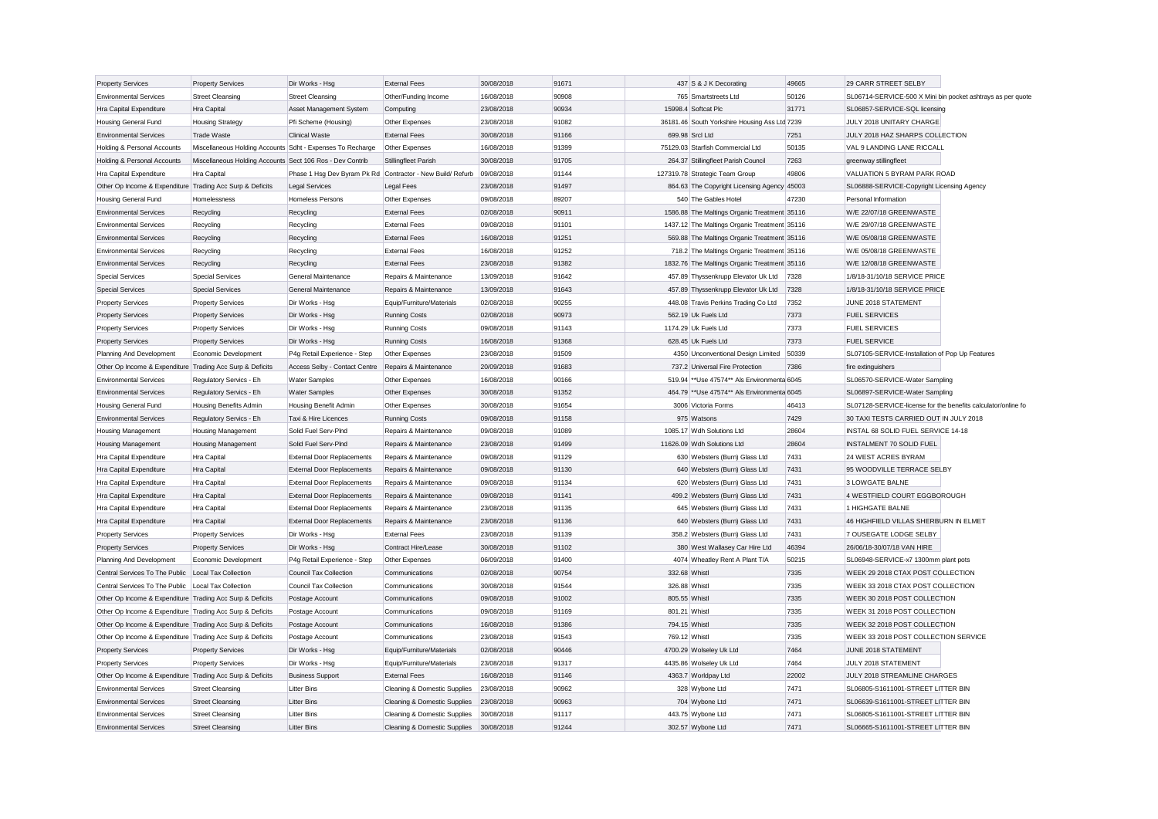| <b>Property Services</b>                                  | <b>Property Services</b>                                   | Dir Works - Hsg                                            | <b>External Fees</b>         | 30/08/2018 | 91671 |               | 437 S & J K Decorating                        | 49665 | 29 CARR STREET SELBY                                          |  |
|-----------------------------------------------------------|------------------------------------------------------------|------------------------------------------------------------|------------------------------|------------|-------|---------------|-----------------------------------------------|-------|---------------------------------------------------------------|--|
| <b>Environmental Services</b>                             | <b>Street Cleansing</b>                                    | <b>Street Cleansing</b>                                    | Other/Funding Income         | 16/08/2018 | 90908 |               | 765 Smartstreets Ltd                          | 50126 | SL06714-SERVICE-500 X Mini bin pocket ashtrays as per quote   |  |
| Hra Capital Expenditure                                   | Hra Capital                                                | Asset Management System                                    | Computing                    | 23/08/2018 | 90934 |               | 15998.4 Softcat Plc                           | 31771 | SL06857-SERVICE-SQL licensing                                 |  |
| Housing General Fund                                      | <b>Housing Strategy</b>                                    | Pfi Scheme (Housing)                                       | Other Expenses               | 23/08/2018 | 91082 |               | 36181.46 South Yorkshire Housing Ass Ltd 7239 |       | JULY 2018 UNITARY CHARGE                                      |  |
| <b>Environmental Services</b>                             | <b>Trade Waste</b>                                         | <b>Clinical Waste</b>                                      | <b>External Fees</b>         | 30/08/2018 | 91166 |               | 699.98 Srcl Ltd                               | 7251  | JULY 2018 HAZ SHARPS COLLECTION                               |  |
| Holding & Personal Accounts                               | Miscellaneous Holding Accounts Sdht - Expenses To Recharge |                                                            | Other Expenses               | 16/08/2018 | 91399 |               | 75129.03 Starfish Commercial Ltd              | 50135 | VAL 9 LANDING LANE RICCALL                                    |  |
| Holding & Personal Accounts                               | Miscellaneous Holding Accounts Sect 106 Ros - Dev Contrib  |                                                            | Stillingfleet Parish         | 30/08/2018 | 91705 |               | 264.37 Stillingfleet Parish Council           | 7263  | greenway stillingfleet                                        |  |
| Hra Capital Expenditure                                   | <b>Hra Capital</b>                                         | Phase 1 Hsg Dev Byram Pk Rd Contractor - New Build/ Refurb |                              | 09/08/2018 | 91144 |               | 127319.78 Strategic Team Group                | 49806 | VALUATION 5 BYRAM PARK ROAD                                   |  |
| Other Op Income & Expenditure Trading Acc Surp & Deficits |                                                            | <b>Legal Services</b>                                      | <b>Legal Fees</b>            | 23/08/2018 | 91497 |               | 864.63 The Copyright Licensing Agency 45003   |       | SL06888-SERVICE-Copyright Licensing Agency                    |  |
| Housing General Fund                                      | Homelessness                                               | Homeless Persons                                           | Other Expenses               | 09/08/2018 | 89207 |               | 540 The Gables Hotel                          | 47230 | Personal Information                                          |  |
| <b>Environmental Services</b>                             | Recycling                                                  | Recycling                                                  | <b>External Fees</b>         | 02/08/2018 | 90911 |               | 1586.88 The Maltings Organic Treatment 35116  |       | W/E 22/07/18 GREENWASTE                                       |  |
| <b>Environmental Services</b>                             | Recycling                                                  | Recycling                                                  | <b>External Fees</b>         | 09/08/2018 | 91101 |               | 1437.12 The Maltings Organic Treatment 35116  |       | W/E 29/07/18 GREENWASTE                                       |  |
| <b>Environmental Services</b>                             | Recycling                                                  | Recycling                                                  | <b>External Fees</b>         | 16/08/2018 | 91251 |               | 569.88 The Maltings Organic Treatment 35116   |       | W/E 05/08/18 GREENWASTE                                       |  |
| <b>Environmental Services</b>                             | Recycling                                                  | Recycling                                                  | <b>External Fees</b>         | 16/08/2018 | 91252 |               | 718.2 The Maltings Organic Treatment 35116    |       | W/E 05/08/18 GREENWASTE                                       |  |
| <b>Environmental Services</b>                             | Recycling                                                  | Recycling                                                  | <b>External Fees</b>         | 23/08/2018 | 91382 |               | 1832.76 The Maltings Organic Treatment 35116  |       | W/E 12/08/18 GREENWASTE                                       |  |
| <b>Special Services</b>                                   | Special Services                                           | General Maintenance                                        | Repairs & Maintenance        | 13/09/2018 | 91642 |               | 457.89 Thyssenkrupp Elevator Uk Ltd           | 7328  | 1/8/18-31/10/18 SERVICE PRICE                                 |  |
| <b>Special Services</b>                                   | <b>Special Services</b>                                    | General Maintenance                                        | Repairs & Maintenance        | 13/09/2018 | 91643 |               | 457.89 Thyssenkrupp Elevator Uk Ltd           | 7328  | 1/8/18-31/10/18 SERVICE PRICE                                 |  |
| <b>Property Services</b>                                  | <b>Property Services</b>                                   | Dir Works - Hsg                                            | Equip/Furniture/Materials    | 02/08/2018 | 90255 |               | 448.08 Travis Perkins Trading Co Ltd          | 7352  | JUNE 2018 STATEMENT                                           |  |
| <b>Property Services</b>                                  | <b>Property Services</b>                                   | Dir Works - Hsg                                            | <b>Running Costs</b>         | 02/08/2018 | 90973 |               | 562.19 Uk Fuels Ltd                           | 7373  | <b>FUEL SERVICES</b>                                          |  |
| <b>Property Services</b>                                  | <b>Property Services</b>                                   | Dir Works - Hsg                                            | Running Costs                | 09/08/2018 | 91143 |               | 1174.29 Uk Fuels Ltd                          | 7373  | <b>FUEL SERVICES</b>                                          |  |
| <b>Property Services</b>                                  | <b>Property Services</b>                                   | Dir Works - Hsg                                            | <b>Running Costs</b>         | 16/08/2018 | 91368 |               | 628.45 Uk Fuels Ltd                           | 7373  | <b>FUEL SERVICE</b>                                           |  |
| Planning And Development                                  | Economic Development                                       | P4g Retail Experience - Step                               | Other Expenses               | 23/08/2018 | 91509 |               | 4350 Unconventional Design Limited            | 50339 | SL07105-SERVICE-Installation of Pop Up Features               |  |
| Other Op Income & Expenditure Trading Acc Surp & Deficits |                                                            | Access Selby - Contact Centre                              | Repairs & Maintenance        | 20/09/2018 | 91683 |               | 737.2 Universal Fire Protection               | 7386  | fire extinguishers                                            |  |
| <b>Environmental Services</b>                             | Regulatory Servics - Eh                                    | <b>Water Samples</b>                                       | Other Expenses               | 16/08/2018 | 90166 |               | 519.94 ** Use 47574** Als Environmenta 6045   |       | SL06570-SERVICE-Water Sampling                                |  |
| <b>Environmental Services</b>                             | Regulatory Servics - Eh                                    | <b>Water Samples</b>                                       | Other Expenses               | 30/08/2018 | 91352 |               | 464.79 ** Use 47574** Als Environmenta 6045   |       | SL06897-SERVICE-Water Sampling                                |  |
| Housing General Fund                                      | Housing Benefits Admin                                     | Housing Benefit Admin                                      | Other Expenses               | 30/08/2018 | 91654 |               | 3006 Victoria Forms                           | 46413 | SL07128-SERVICE-license for the benefits calculator/online fo |  |
| <b>Environmental Services</b>                             | Regulatory Servics - Eh                                    | Taxi & Hire Licences                                       | <b>Running Costs</b>         | 09/08/2018 | 91158 |               | 975 Watsons                                   | 7429  | 30 TAXI TESTS CARRIED OUT IN JULY 2018                        |  |
| Housing Management                                        | Housing Management                                         | Solid Fuel Serv-Plnd                                       | Repairs & Maintenance        | 09/08/2018 | 91089 |               | 1085.17 Wdh Solutions Ltd                     | 28604 | INSTAL 68 SOLID FUEL SERVICE 14-18                            |  |
| Housing Management                                        | <b>Housing Management</b>                                  | Solid Fuel Serv-PInd                                       | Repairs & Maintenance        | 23/08/2018 | 91499 |               | 11626.09 Wdh Solutions Ltd                    | 28604 | <b>INSTALMENT 70 SOLID FUEL</b>                               |  |
| Hra Capital Expenditure                                   | Hra Capital                                                | <b>External Door Replacements</b>                          | Repairs & Maintenance        | 09/08/2018 | 91129 |               | 630 Websters (Burn) Glass Ltd                 | 7431  | 24 WEST ACRES BYRAM                                           |  |
| Hra Capital Expenditure                                   | Hra Capital                                                | <b>External Door Replacements</b>                          | Repairs & Maintenance        | 09/08/2018 | 91130 |               | 640 Websters (Burn) Glass Ltd                 | 7431  | 95 WOODVILLE TERRACE SELBY                                    |  |
|                                                           |                                                            |                                                            |                              |            |       |               |                                               | 7431  |                                                               |  |
| Hra Capital Expenditure                                   | Hra Capital                                                | <b>External Door Replacements</b>                          | Repairs & Maintenance        | 09/08/2018 | 91134 |               | 620 Websters (Burn) Glass Ltd                 | 7431  | 3 LOWGATE BALNE                                               |  |
| Hra Capital Expenditure                                   | Hra Capital                                                | <b>External Door Replacements</b>                          | Repairs & Maintenance        | 09/08/2018 | 91141 |               | 499.2 Websters (Burn) Glass Ltd               |       | 4 WESTFIELD COURT EGGBOROUGH                                  |  |
| Hra Capital Expenditure                                   | Hra Capital                                                | <b>External Door Replacements</b>                          | Repairs & Maintenance        | 23/08/2018 | 91135 |               | 645 Websters (Burn) Glass Ltd                 | 7431  | 1 HIGHGATE BALNE                                              |  |
| Hra Capital Expenditure                                   | Hra Capital                                                | <b>External Door Replacements</b>                          | Repairs & Maintenance        | 23/08/2018 | 91136 |               | 640 Websters (Burn) Glass Ltd                 | 7431  | 46 HIGHFIELD VILLAS SHERBURN IN ELMET                         |  |
| <b>Property Services</b>                                  | <b>Property Services</b>                                   | Dir Works - Hsg                                            | <b>External Fees</b>         | 23/08/2018 | 91139 |               | 358.2 Websters (Burn) Glass Ltd               | 7431  | 7 OUSEGATE LODGE SELBY                                        |  |
| <b>Property Services</b>                                  | <b>Property Services</b>                                   | Dir Works - Hsg                                            | Contract Hire/Lease          | 30/08/2018 | 91102 |               | 380 West Wallasey Car Hire Ltd                | 46394 | 26/06/18-30/07/18 VAN HIRE                                    |  |
| Planning And Development                                  | Economic Development                                       | P4g Retail Experience - Step                               | Other Expenses               | 06/09/2018 | 91400 |               | 4074 Wheatley Rent A Plant T/A                | 50215 | SL06948-SERVICE-x7 1300mm plant pots                          |  |
| Central Services To The Public                            | Local Tax Collection                                       | <b>Council Tax Collection</b>                              | Communications               | 02/08/2018 | 90754 | 332.68 Whist  |                                               | 7335  | WEEK 29 2018 CTAX POST COLLECTION                             |  |
| Central Services To The Public                            | Local Tax Collection                                       | Council Tax Collection                                     | Communications               | 30/08/2018 | 91544 | 326.88 Whistl |                                               | 7335  | WEEK 33 2018 CTAX POST COLLECTION                             |  |
| Other Op Income & Expenditure Trading Acc Surp & Deficits |                                                            | Postage Account                                            | Communications               | 09/08/2018 | 91002 | 805.55 Whistl |                                               | 7335  | WEEK 30 2018 POST COLLECTION                                  |  |
| Other Op Income & Expenditure Trading Acc Surp & Deficits |                                                            | Postage Account                                            | Communications               | 09/08/2018 | 91169 | 801.21 Whistl |                                               | 7335  | WEEK 31 2018 POST COLLECTION                                  |  |
| Other Op Income & Expenditure Trading Acc Surp & Deficits |                                                            | Postage Account                                            | Communications               | 16/08/2018 | 91386 | 794.15 Whistl |                                               | 7335  | WEEK 32 2018 POST COLLECTION                                  |  |
| Other Op Income & Expenditure Trading Acc Surp & Deficits |                                                            | Postage Account                                            | Communications               | 23/08/2018 | 91543 | 769.12 Whistl |                                               | 7335  | WEEK 33 2018 POST COLLECTION SERVICE                          |  |
| <b>Property Services</b>                                  | <b>Property Services</b>                                   | Dir Works - Hsg                                            | Equip/Furniture/Materials    | 02/08/2018 | 90446 |               | 4700.29 Wolseley Uk Ltd                       | 7464  | JUNE 2018 STATEMENT                                           |  |
| <b>Property Services</b>                                  | <b>Property Services</b>                                   | Dir Works - Hsg                                            | Equip/Furniture/Materials    | 23/08/2018 | 91317 |               | 4435.86 Wolseley Uk Ltd                       | 7464  | JULY 2018 STATEMENT                                           |  |
| Other Op Income & Expenditure Trading Acc Surp & Deficits |                                                            | <b>Business Support</b>                                    | <b>External Fees</b>         | 16/08/2018 | 91146 |               | 4363.7 Worldpay Ltd                           | 22002 | JULY 2018 STREAMLINE CHARGES                                  |  |
| <b>Environmental Services</b>                             | <b>Street Cleansing</b>                                    | <b>Litter Bins</b>                                         | Cleaning & Domestic Supplies | 23/08/2018 | 90962 |               | 328 Wybone Ltd                                | 7471  | SL06805-S1611001-STREET LITTER BIN                            |  |
| <b>Environmental Services</b>                             | <b>Street Cleansing</b>                                    | <b>Litter Bins</b>                                         | Cleaning & Domestic Supplies | 23/08/2018 | 90963 |               | 704 Wybone Ltd                                | 7471  | SL06639-S1611001-STREET LITTER BIN                            |  |
| <b>Environmental Services</b>                             | <b>Street Cleansing</b>                                    | <b>Litter Bins</b>                                         | Cleaning & Domestic Supplies | 30/08/2018 | 91117 |               | 443.75 Wybone Ltd                             | 7471  | SL06805-S1611001-STREET LITTER BIN                            |  |
| Environmental Services                                    | Street Cleansing                                           | <b>Litter Bins</b>                                         | Cleaning & Domestic Supplies | 30/08/2018 | 91244 |               | 302.57 Wybone Ltd                             | 7471  | SL06665-S1611001-STREET LITTER BIN                            |  |